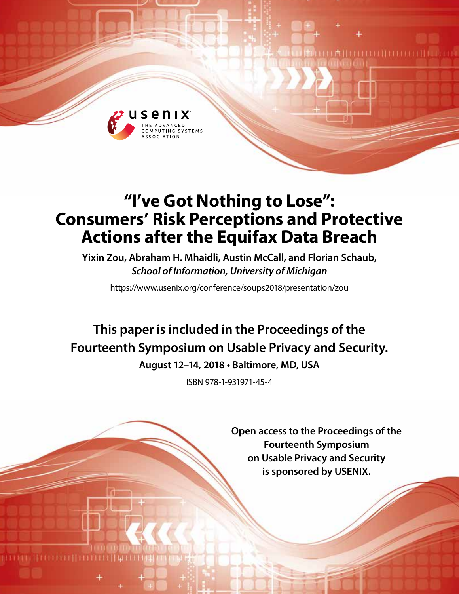

# **"I've Got Nothing to Lose": Consumers' Risk Perceptions and Protective Actions after the Equifax Data Breach**

**Yixin Zou, Abraham H. Mhaidli, Austin McCall, and Florian Schaub,**  *School of Information, University of Michigan*

https://www.usenix.org/conference/soups2018/presentation/zou

**This paper is included in the Proceedings of the Fourteenth Symposium on Usable Privacy and Security. August 12–14, 2018 • Baltimore, MD, USA**

ISBN 978-1-931971-45-4

**Open access to the Proceedings of the Fourteenth Symposium on Usable Privacy and Security is sponsored by USENIX.**

**LA HELLELLI LEE LEE**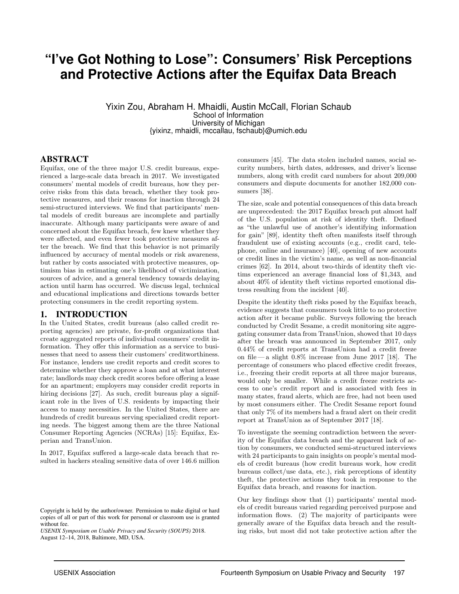## **"I've Got Nothing to Lose": Consumers' Risk Perceptions and Protective Actions after the Equifax Data Breach**

Yixin Zou, Abraham H. Mhaidli, Austin McCall, Florian Schaub School of Information University of Michigan {yixinz, mhaidli, mccallau, fschaub}@umich.edu

#### ABSTRACT

Equifax, one of the three major U.S. credit bureaus, experienced a large-scale data breach in 2017. We investigated consumers' mental models of credit bureaus, how they perceive risks from this data breach, whether they took protective measures, and their reasons for inaction through 24 semi-structured interviews. We find that participants' mental models of credit bureaus are incomplete and partially inaccurate. Although many participants were aware of and concerned about the Equifax breach, few knew whether they were affected, and even fewer took protective measures after the breach. We find that this behavior is not primarily influenced by accuracy of mental models or risk awareness, but rather by costs associated with protective measures, optimism bias in estimating one's likelihood of victimization, sources of advice, and a general tendency towards delaying action until harm has occurred. We discuss legal, technical and educational implications and directions towards better protecting consumers in the credit reporting system.

#### 1. INTRODUCTION

In the United States, credit bureaus (also called credit reporting agencies) are private, for-profit organizations that create aggregated reports of individual consumers' credit information. They offer this information as a service to businesses that need to assess their customers' creditworthiness. For instance, lenders use credit reports and credit scores to determine whether they approve a loan and at what interest rate; landlords may check credit scores before offering a lease for an apartment; employers may consider credit reports in hiring decisions [27]. As such, credit bureaus play a significant role in the lives of U.S. residents by impacting their access to many necessities. In the United States, there are hundreds of credit bureaus serving specialized credit reporting needs. The biggest among them are the three National Consumer Reporting Agencies (NCRAs) [15]: Equifax, Experian and TransUnion.

In 2017, Equifax suffered a large-scale data breach that resulted in hackers stealing sensitive data of over 146.6 million

*USENIX Symposium on Usable Privacy and Security (SOUPS)* 2018. August 12–14, 2018, Baltimore, MD, USA.

consumers [45]. The data stolen included names, social security numbers, birth dates, addresses, and driver's license numbers, along with credit card numbers for about 209,000 consumers and dispute documents for another 182,000 consumers [38].

The size, scale and potential consequences of this data breach are unprecedented: the 2017 Equifax breach put almost half of the U.S. population at risk of identity theft. Defined as "the unlawful use of another's identifying information for gain" [89], identity theft often manifests itself through fraudulent use of existing accounts (e.g., credit card, telephone, online and insurance) [40], opening of new accounts or credit lines in the victim's name, as well as non-financial crimes [62]. In 2014, about two-thirds of identity theft victims experienced an average financial loss of \$1,343, and about 40% of identity theft victims reported emotional distress resulting from the incident [40].

Despite the identity theft risks posed by the Equifax breach, evidence suggests that consumers took little to no protective action after it became public. Surveys following the breach conducted by Credit Sesame, a credit monitoring site aggregating consumer data from TransUnion, showed that 10 days after the breach was announced in September 2017, only 0.44% of credit reports at TransUnion had a credit freeze on file—a slight  $0.8\%$  increase from June 2017 [18]. The percentage of consumers who placed effective credit freezes, i.e., freezing their credit reports at all three major bureaus, would only be smaller. While a credit freeze restricts access to one's credit report and is associated with fees in many states, fraud alerts, which are free, had not been used by most consumers either. The Credit Sesame report found that only 7% of its members had a fraud alert on their credit report at TransUnion as of September 2017 [18].

To investigate the seeming contradiction between the severity of the Equifax data breach and the apparent lack of action by consumers, we conducted semi-structured interviews with 24 participants to gain insights on people's mental models of credit bureaus (how credit bureaus work, how credit bureaus collect/use data, etc.), risk perceptions of identity theft, the protective actions they took in response to the Equifax data breach, and reasons for inaction.

Our key findings show that (1) participants' mental models of credit bureaus varied regarding perceived purpose and information flows. (2) The majority of participants were generally aware of the Equifax data breach and the resulting risks, but most did not take protective action after the

Copyright is held by the author/owner. Permission to make digital or hard copies of all or part of this work for personal or classroom use is granted without fee.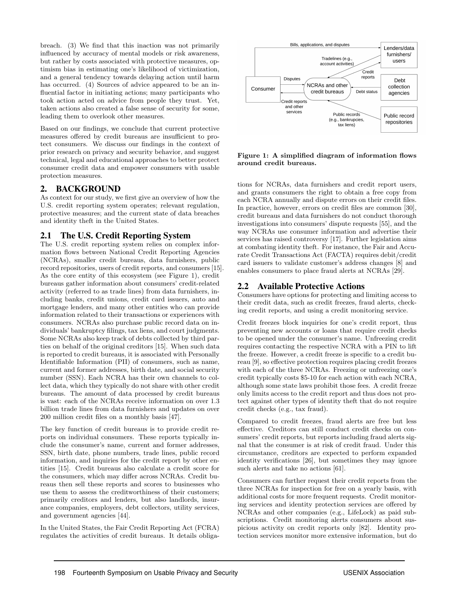breach. (3) We find that this inaction was not primarily influenced by accuracy of mental models or risk awareness, but rather by costs associated with protective measures, optimism bias in estimating one's likelihood of victimization, and a general tendency towards delaying action until harm has occurred. (4) Sources of advice appeared to be an influential factor in initiating actions; many participants who took action acted on advice from people they trust. Yet, taken actions also created a false sense of security for some, leading them to overlook other measures.

Based on our findings, we conclude that current protective measures offered by credit bureaus are insufficient to protect consumers. We discuss our findings in the context of prior research on privacy and security behavior, and suggest technical, legal and educational approaches to better protect consumer credit data and empower consumers with usable protection measures.

#### 2. BACKGROUND

As context for our study, we first give an overview of how the U.S. credit reporting system operates; relevant regulation, protective measures; and the current state of data breaches and identity theft in the United States.

### 2.1 The U.S. Credit Reporting System

The U.S. credit reporting system relies on complex information flows between National Credit Reporting Agencies (NCRAs), smaller credit bureaus, data furnishers, public record repositories, users of credit reports, and consumers [15]. As the core entity of this ecosystem (see Figure 1), credit bureaus gather information about consumers' credit-related activity (referred to as trade lines) from data furnishers, including banks, credit unions, credit card issuers, auto and mortgage lenders, and many other entities who can provide information related to their transactions or experiences with consumers. NCRAs also purchase public record data on individuals' bankruptcy filings, tax liens, and court judgments. Some NCRAs also keep track of debts collected by third parties on behalf of the original creditors [15]. When such data is reported to credit bureaus, it is associated with Personally Identifiable Information (PII) of consumers, such as name, current and former addresses, birth date, and social security number (SSN). Each NCRA has their own channels to collect data, which they typically do not share with other credit bureaus. The amount of data processed by credit bureaus is vast: each of the NCRAs receive information on over 1.3 billion trade lines from data furnishers and updates on over 200 million credit files on a monthly basis [47].

The key function of credit bureaus is to provide credit reports on individual consumers. These reports typically include the consumer's name, current and former addresses, SSN, birth date, phone numbers, trade lines, public record information, and inquiries for the credit report by other entities [15]. Credit bureaus also calculate a credit score for the consumers, which may differ across NCRAs. Credit bureaus then sell these reports and scores to businesses who use them to assess the creditworthiness of their customers; primarily creditors and lenders, but also landlords, insurance companies, employers, debt collectors, utility services, and government agencies [44].

In the United States, the Fair Credit Reporting Act (FCRA) regulates the activities of credit bureaus. It details obliga-



Figure 1: A simplified diagram of information flows around credit bureaus.

tions for NCRAs, data furnishers and credit report users, and grants consumers the right to obtain a free copy from each NCRA annually and dispute errors on their credit files. In practice, however, errors on credit files are common [30], credit bureaus and data furnishers do not conduct thorough investigations into consumers' dispute requests [55], and the way NCRAs use consumer information and advertise their services has raised controversy [17]. Further legislation aims at combating identity theft. For instance, the Fair and Accurate Credit Transactions Act (FACTA) requires debit/credit card issuers to validate customer's address changes [8] and enables consumers to place fraud alerts at NCRAs [29].

## 2.2 Available Protective Actions

Consumers have options for protecting and limiting access to their credit data, such as credit freezes, fraud alerts, checking credit reports, and using a credit monitoring service.

Credit freezes block inquiries for one's credit report, thus preventing new accounts or loans that require credit checks to be opened under the consumer's name. Unfreezing credit requires contacting the respective NCRA with a PIN to lift the freeze. However, a credit freeze is specific to a credit bureau [9], so effective protection requires placing credit freezes with each of the three NCRAs. Freezing or unfreezing one's credit typically costs \$5-10 for each action with each NCRA, although some state laws prohibit those fees. A credit freeze only limits access to the credit report and thus does not protect against other types of identity theft that do not require credit checks (e.g., tax fraud).

Compared to credit freezes, fraud alerts are free but less effective. Creditors can still conduct credit checks on consumers' credit reports, but reports including fraud alerts signal that the consumer is at risk of credit fraud. Under this circumstance, creditors are expected to perform expanded identity verifications [26], but sometimes they may ignore such alerts and take no actions [61].

Consumers can further request their credit reports from the three NCRAs for inspection for free on a yearly basis, with additional costs for more frequent requests. Credit monitoring services and identity protection services are offered by NCRAs and other companies (e.g., LifeLock) as paid subscriptions. Credit monitoring alerts consumers about suspicious activity on credit reports only [82]. Identity protection services monitor more extensive information, but do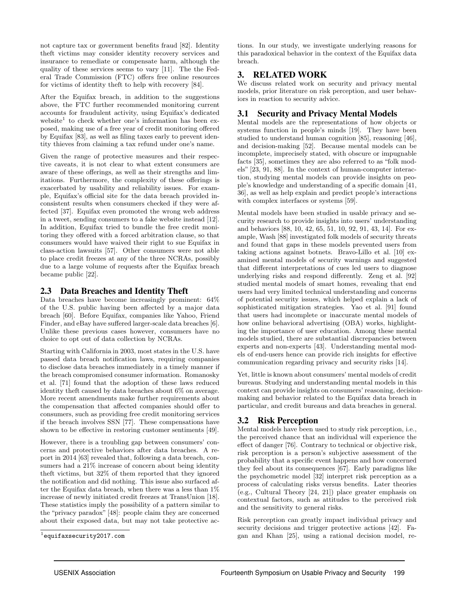not capture tax or government benefits fraud [82]. Identity theft victims may consider identity recovery services and insurance to remediate or compensate harm, although the quality of these services seems to vary [11]. The the Federal Trade Commission (FTC) offers free online resources for victims of identity theft to help with recovery [84].

After the Equifax breach, in addition to the suggestions above, the FTC further recommended monitoring current accounts for fraudulent activity, using Equifax's dedicated website<sup>1</sup> to check whether one's information has been exposed, making use of a free year of credit monitoring offered by Equifax [83], as well as filing taxes early to prevent identity thieves from claiming a tax refund under one's name.

Given the range of protective measures and their respective caveats, it is not clear to what extent consumers are aware of these offerings, as well as their strengths and limitations. Furthermore, the complexity of these offerings is exacerbated by usability and reliability issues. For example, Equifax's official site for the data breach provided inconsistent results when consumers checked if they were affected [37]. Equifax even promoted the wrong web address in a tweet, sending consumers to a fake website instead [12]. In addition, Equifax tried to bundle the free credit monitoring they offered with a forced arbitration clause, so that consumers would have waived their right to sue Equifax in class-action lawsuits [57]. Other consumers were not able to place credit freezes at any of the three NCRAs, possibly due to a large volume of requests after the Equifax breach became public [22].

## 2.3 Data Breaches and Identity Theft

Data breaches have become increasingly prominent: 64% of the U.S. public having been affected by a major data breach [60]. Before Equifax, companies like Yahoo, Friend Finder, and eBay have suffered larger-scale data breaches [6]. Unlike these previous cases however, consumers have no choice to opt out of data collection by NCRAs.

Starting with California in 2003, most states in the U.S. have passed data breach notification laws, requiring companies to disclose data breaches immediately in a timely manner if the breach compromised consumer information. Romanosky et al. [71] found that the adoption of these laws reduced identity theft caused by data breaches about 6% on average. More recent amendments make further requirements about the compensation that affected companies should offer to consumers, such as providing free credit monitoring services if the breach involves SSN [77]. These compensations have shown to be effective in restoring customer sentiments [49].

However, there is a troubling gap between consumers' concerns and protective behaviors after data breaches. A report in 2014 [63] revealed that, following a data breach, consumers had a 21% increase of concern about being identity theft victims, but 32% of them reported that they ignored the notification and did nothing. This issue also surfaced after the Equifax data breach, when there was a less than 1% increase of newly initiated credit freezes at TransUnion [18]. These statistics imply the possibility of a pattern similar to the "privacy paradox" [48]: people claim they are concerned about their exposed data, but may not take protective actions. In our study, we investigate underlying reasons for this paradoxical behavior in the context of the Equifax data breach.

## 3. RELATED WORK

We discuss related work on security and privacy mental models, prior literature on risk perception, and user behaviors in reaction to security advice.

## 3.1 Security and Privacy Mental Models

Mental models are the representations of how objects or systems function in people's minds [19]. They have been studied to understand human cognition [85], reasoning [46], and decision-making [52]. Because mental models can be incomplete, imprecisely stated, with obscure or impugnable facts [35], sometimes they are also referred to as "folk models" [23, 91, 88]. In the context of human-computer interaction, studying mental models can provide insights on people's knowledge and understanding of a specific domain [41, 36], as well as help explain and predict people's interactions with complex interfaces or systems [59].

Mental models have been studied in usable privacy and security research to provide insights into users' understanding and behaviors [88, 10, 42, 65, 51, 10, 92, 91, 43, 14]. For example, Wash [88] investigated folk models of security threats and found that gaps in these models prevented users from taking actions against botnets. Bravo-Lillo et al. [10] examined mental models of security warnings and suggested that different interpretations of cues led users to diagnose underlying risks and respond differently. Zeng et al. [92] studied mental models of smart homes, revealing that end users had very limited technical understanding and concerns of potential security issues, which helped explain a lack of sophisticated mitigation strategies. Yao et al. [91] found that users had incomplete or inaccurate mental models of how online behavioral advertising (OBA) works, highlighting the importance of user education. Among these mental models studied, there are substantial discrepancies between experts and non-experts [43]. Understanding mental models of end-users hence can provide rich insights for effective communication regarding privacy and security risks [14].

Yet, little is known about consumers' mental models of credit bureaus. Studying and understanding mental models in this context can provide insights on consumers' reasoning, decisionmaking and behavior related to the Equifax data breach in particular, and credit bureaus and data breaches in general.

## 3.2 Risk Perception

Mental models have been used to study risk perception, i.e., the perceived chance that an individual will experience the effect of danger [76]. Contrary to technical or objective risk, risk perception is a person's subjective assessment of the probability that a specific event happens and how concerned they feel about its consequences [67]. Early paradigms like the psychometric model [32] interpret risk perception as a process of calculating risks versus benefits. Later theories (e.g., Cultural Theory [24, 21]) place greater emphasis on contextual factors, such as attitudes to the perceived risk and the sensitivity to general risks.

Risk perception can greatly impact individual privacy and security decisions and trigger protective actions [42]. Fagan and Khan [25], using a rational decision model, re-

 $^{1}$ equifaxsecurity2017.com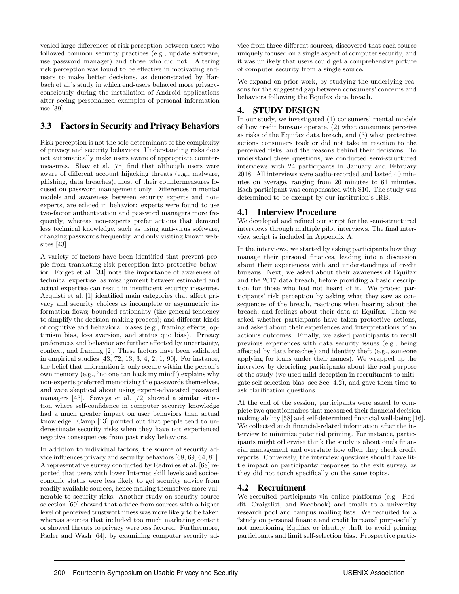vealed large differences of risk perception between users who followed common security practices (e.g., update software, use password manager) and those who did not. Altering risk perception was found to be effective in motivating endusers to make better decisions, as demonstrated by Harbach et al.'s study in which end-users behaved more privacyconsciously during the installation of Android applications after seeing personalized examples of personal information use [39].

## 3.3 Factors in Security and Privacy Behaviors

Risk perception is not the sole determinant of the complexity of privacy and security behaviors. Understanding risks does not automatically make users aware of appropriate countermeasures. Shay et al. [75] find that although users were aware of different account hijacking threats (e.g., malware, phishing, data breaches), most of their countermeasures focused on password management only. Differences in mental models and awareness between security experts and nonexperts, are echoed in behavior: experts were found to use two-factor authentication and password managers more frequently, whereas non-experts prefer actions that demand less technical knowledge, such as using anti-virus software, changing passwords frequently, and only visiting known websites [43].

A variety of factors have been identified that prevent people from translating risk perception into protective behavior. Forget et al. [34] note the importance of awareness of technical expertise, as misalignment between estimated and actual expertise can result in insufficient security measures. Acquisti et al. [1] identified main categories that affect privacy and security choices as incomplete or asymmetric information flows; bounded rationality (the general tendency to simplify the decision-making process); and different kinds of cognitive and behavioral biases (e.g., framing effects, optimism bias, loss aversion, and status quo bias). Privacy preferences and behavior are further affected by uncertainty, context, and framing [2]. These factors have been validated in empirical studies [43, 72, 13, 3, 4, 2, 1, 90]. For instance, the belief that information is only secure within the person's own memory (e.g., "no one can hack my mind") explains why non-experts preferred memorizing the passwords themselves, and were skeptical about using expert-advocated password managers [43]. Sawaya et al. [72] showed a similar situation where self-confidence in computer security knowledge had a much greater impact on user behaviors than actual knowledge. Camp [13] pointed out that people tend to underestimate security risks when they have not experienced negative consequences from past risky behaviors.

In addition to individual factors, the source of security advice influences privacy and security behaviors [68, 69, 64, 81]. A representative survey conducted by Redmiles et al. [68] reported that users with lower Internet skill levels and socioeconomic status were less likely to get security advice from readily available sources, hence making themselves more vulnerable to security risks. Another study on security source selection [69] showed that advice from sources with a higher level of perceived trustworthiness was more likely to be taken, whereas sources that included too much marketing content or showed threats to privacy were less favored. Furthermore, Rader and Wash [64], by examining computer security advice from three different sources, discovered that each source uniquely focused on a single aspect of computer security, and it was unlikely that users could get a comprehensive picture of computer security from a single source.

We expand on prior work, by studying the underlying reasons for the suggested gap between consumers' concerns and behaviors following the Equifax data breach.

## 4. STUDY DESIGN

In our study, we investigated (1) consumers' mental models of how credit bureaus operate, (2) what consumers perceive as risks of the Equifax data breach, and (3) what protective actions consumers took or did not take in reaction to the perceived risks, and the reasons behind their decisions. To understand these questions, we conducted semi-structured interviews with 24 participants in January and February 2018. All interviews were audio-recorded and lasted 40 minutes on average, ranging from 20 minutes to 61 minutes. Each participant was compensated with \$10. The study was determined to be exempt by our institution's IRB.

## 4.1 Interview Procedure

We developed and refined our script for the semi-structured interviews through multiple pilot interviews. The final interview script is included in Appendix A.

In the interviews, we started by asking participants how they manage their personal finances, leading into a discussion about their experiences with and understandings of credit bureaus. Next, we asked about their awareness of Equifax and the 2017 data breach, before providing a basic description for those who had not heard of it. We probed participants' risk perception by asking what they saw as consequences of the breach, reactions when hearing about the breach, and feelings about their data at Equifax. Then we asked whether participants have taken protective actions, and asked about their experiences and interpretations of an action's outcomes. Finally, we asked participants to recall previous experiences with data security issues (e.g., being affected by data breaches) and identity theft (e.g., someone applying for loans under their names). We wrapped up the interview by debriefing participants about the real purpose of the study (we used mild deception in recruitment to mitigate self-selection bias, see Sec. 4.2), and gave them time to ask clarification questions.

At the end of the session, participants were asked to complete two questionnaires that measured their financial decisionmaking ability [58] and self-determined financial well-being [16]. We collected such financial-related information after the interview to minimize potential priming. For instance, participants might otherwise think the study is about one's financial management and overstate how often they check credit reports. Conversely, the interview questions should have little impact on participants' responses to the exit survey, as they did not touch specifically on the same topics.

## 4.2 Recruitment

We recruited participants via online platforms (e.g., Reddit, Craigslist, and Facebook) and emails to a university research pool and campus mailing lists. We recruited for a "study on personal finance and credit bureaus" purposefully not mentioning Equifax or identity theft to avoid priming participants and limit self-selection bias. Prospective partic-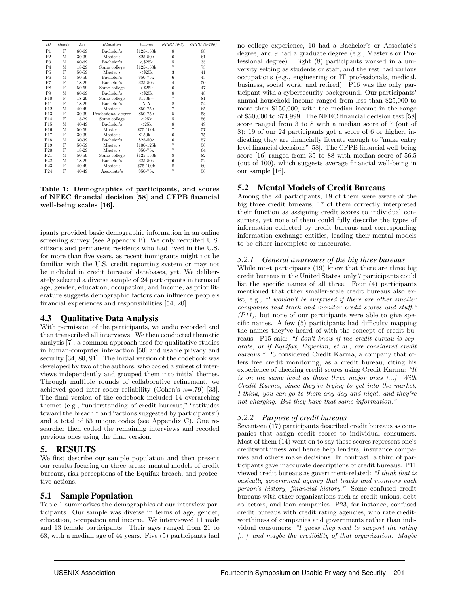| ID              | Gender | Age       | <b>Education</b>    | <i>Income</i> | $NFEC(0-8)$    | $CFPB$ $(0-100)$ |
|-----------------|--------|-----------|---------------------|---------------|----------------|------------------|
| P1              | F      | 60-69     | Bachelor's          | \$125-150k    | 8              | 88               |
| P <sub>2</sub>  | M      | 30-39     | Master's            | \$25-50k      | 6              | 61               |
| P3              | М      | 60-69     | Bachelor's          | $<$ \$25 $k$  | 5              | 35               |
| P <sub>4</sub>  | М      | 18-29     | Some college        | \$125-150k    | 7              | 73               |
| P <sub>5</sub>  | F      | 50-59     | Master's            | $<$ \$25 $k$  | 3              | 41               |
| P <sub>6</sub>  | M      | 50-59     | Bachelor's          | \$50-75k      | 6              | 45               |
| P7              | F      | 18-29     | Bachelor's          | \$25-50k      | $\overline{4}$ | 50               |
| P8              | F      | 50-59     | Some college        | $<$ \$25 $k$  | 6              | 47               |
| P <sub>9</sub>  | М      | 60-69     | Bachelor's          | $<$ \$25 $k$  | 8              | 48               |
| P <sub>10</sub> | F      | 18-29     | Some college        | $$150k+$      | 7              | 81               |
| P11             | F      | 18-29     | Bachelor's          | N.A           | 8              | 54               |
| P12             | М      | 40-49     | Master's            | \$50-75k      | 7              | 65               |
| P <sub>13</sub> | F      | 30-39     | Professional degree | \$50-75k      | 5              | 58               |
| P14             | F      | 18-29     | Some college        | $<$ 25 $k$    | 5              | 56               |
| P <sub>15</sub> | M      | $40 - 49$ | Bachelor's          | $<$ 25 $k$    | 8              | 49               |
| P <sub>16</sub> | М      | 50-59     | Master's            | \$75-100k     | $\overline{7}$ | 57               |
| P17             | F      | 30-39     | Master's            | $$150k+$      | 6              | 75               |
| P18             | М      | 30-39     | Bachelor's          | $$25-50k$     | 6              | 57               |
| P <sub>19</sub> | F      | 50-59     | Master's            | \$100-125k    | 7              | 56               |
| $P_{20}$        | F      | 18-29     | Master's            | \$50-75k      | 7              | 64               |
| P21             | М      | 50-59     | Some college        | \$125-150k    | 8              | 82               |
| P22             | М      | 18-29     | Bachelor's          | \$25-50k      | 6              | 52               |
| P23             | F      | $40 - 49$ | Master's            | \$75-100k     | 8              | 60               |
| P24             | F      | $40 - 49$ | Associate's         | \$50-75k      | 7              | 56               |

Table 1: Demographics of participants, and scores of NFEC financial decision [58] and CFPB financial well-being scales [16].

ipants provided basic demographic information in an online screening survey (see Appendix B). We only recruited U.S. citizens and permanent residents who had lived in the U.S. for more than five years, as recent immigrants might not be familiar with the U.S. credit reporting system or may not be included in credit bureaus' databases, yet. We deliberately selected a diverse sample of 24 participants in terms of age, gender, education, occupation, and income, as prior literature suggests demographic factors can influence people's financial experiences and responsibilities [54, 20].

### 4.3 Qualitative Data Analysis

With permission of the participants, we audio recorded and then transcribed all interviews. We then conducted thematic analysis [7], a common approach used for qualitative studies in human-computer interaction [50] and usable privacy and security [34, 80, 91]. The initial version of the codebook was developed by two of the authors, who coded a subset of interviews independently and grouped them into initial themes. Through multiple rounds of collaborative refinement, we achieved good inter-coder reliability (Cohen's  $\kappa = .79$ ) [33]. The final version of the codebook included 14 overarching themes (e.g., "understanding of credit bureaus," "attitudes toward the breach," and "actions suggested by participants") and a total of 53 unique codes (see Appendix C). One researcher then coded the remaining interviews and recoded previous ones using the final version.

### 5. RESULTS

We first describe our sample population and then present our results focusing on three areas: mental models of credit bureaus, risk perceptions of the Equifax breach, and protective actions.

#### 5.1 Sample Population

Table 1 summarizes the demographics of our interview participants. Our sample was diverse in terms of age, gender, education, occupation and income. We interviewed 11 male and 13 female participants. Their ages ranged from 21 to 68, with a median age of 44 years. Five (5) participants had

no college experience, 10 had a Bachelor's or Associate's degree, and 9 had a graduate degree (e.g., Master's or Professional degree). Eight (8) participants worked in a university setting as students or staff, and the rest had various occupations (e.g., engineering or IT professionals, medical, business, social work, and retired). P16 was the only participant with a cybersecurity background. Our participants' annual household income ranged from less than \$25,000 to more than \$150,000, with the median income in the range of \$50,000 to \$74,999. The NFEC financial decision test [58] score ranged from 3 to 8 with a median score of 7 (out of 8); 19 of our 24 participants got a score of 6 or higher, indicating they are financially literate enough to "make entry level financial decisions"[58]. The CFPB financial well-being score [16] ranged from 35 to 88 with median score of 56.5 (out of 100), which suggests average financial well-being in our sample [16].

## 5.2 Mental Models of Credit Bureaus

Among the 24 participants, 19 of them were aware of the big three credit bureaus, 17 of them correctly interpreted their function as assigning credit scores to individual consumers, yet none of them could fully describe the types of information collected by credit bureaus and corresponding information exchange entities, leading their mental models to be either incomplete or inaccurate.

#### *5.2.1 General awareness of the big three bureaus*

While most participants (19) knew that there are three big credit bureaus in the United States, only 7 participants could list the specific names of all three. Four (4) participants mentioned that other smaller-scale credit bureaus also exist, e.g., "I wouldn't be surprised if there are other smaller companies that track and monitor credit scores and stuff."  $(P11)$ , but none of our participants were able to give specific names. A few (5) participants had difficulty mapping the names they've heard of with the concept of credit bureaus. P15 said: "I don't know if the credit bureau is separate, or if Equifax, Experian, et al., are considered credit bureaus." P3 considered Credit Karma, a company that offers free credit monitoring, as a credit bureau, citing his experience of checking credit scores using Credit Karma: "It is on the same level as those three major ones [...] With Credit Karma, since they're trying to get into the market, I think, you can go to them any day and night, and they're not charging. But they have that same information."

### *5.2.2 Purpose of credit bureaus*

Seventeen (17) participants described credit bureaus as companies that assign credit scores to individual consumers. Most of them (14) went on to say these scores represent one's creditworthiness and hence help lenders, insurance companies and others make decisions. In contrast, a third of participants gave inaccurate descriptions of credit bureaus. P11 viewed credit bureaus as government-related: "I think that is basically government agency that tracks and monitors each person's history, financial history." Some confused credit bureaus with other organizations such as credit unions, debt collectors, and loan companies. P23, for instance, confused credit bureaus with credit rating agencies, who rate creditworthiness of companies and governments rather than individual consumers: "I guess they need to support the rating [...] and maybe the credibility of that organization. Maybe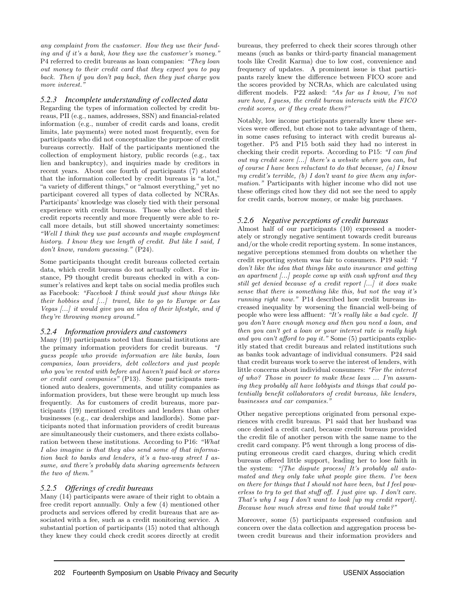any complaint from the customer. How they use their funding and if it's a bank, how they use the customer's money." P4 referred to credit bureaus as loan companies: "They loan out money to their credit card that they expect you to pay back. Then if you don't pay back, then they just charge you more interest.'

#### *5.2.3 Incomplete understanding of collected data*

Regarding the types of information collected by credit bureaus, PII (e.g., names, addresses, SSN) and financial-related information (e.g., number of credit cards and loans, credit limits, late payments) were noted most frequently, even for participants who did not conceptualize the purpose of credit bureaus correctly. Half of the participants mentioned the collection of employment history, public records (e.g., tax lien and bankruptcy), and inquiries made by creditors in recent years. About one fourth of participants (7) stated that the information collected by credit bureaus is "a lot," "a variety of different things," or "almost everything," yet no participant covered all types of data collected by NCRAs. Participants' knowledge was closely tied with their personal experience with credit bureaus. Those who checked their credit reports recently and more frequently were able to recall more details, but still showed uncertainty sometimes: "Well I think they use past accounts and maybe employment history. I know they use length of credit. But like I said, I don't know, random guessing." (P24).

Some participants thought credit bureaus collected certain data, which credit bureaus do not actually collect. For instance, P9 thought credit bureaus checked in with a consumer's relatives and kept tabs on social media profiles such as Facebook: "Facebook I think would just show things like their hobbies and [...] travel, like to go to Europe or Las Vegas [...] it would give you an idea of their lifestyle, and if they're throwing money around."

#### *5.2.4 Information providers and customers*

Many (19) participants noted that financial institutions are the primary information providers for credit bureaus. "I guess people who provide information are like banks, loan companies, loan providers, debt collectors and just people who you've rented with before and haven't paid back or stores or credit card companies" (P13). Some participants mentioned auto dealers, governments, and utility companies as information providers, but these were brought up much less frequently. As for customers of credit bureaus, more participants (19) mentioned creditors and lenders than other businesses (e.g., car dealerships and landlords). Some participants noted that information providers of credit bureaus are simultaneously their customers, and there exists collaboration between these institutions. According to P16: "What I also imagine is that they also send some of that information back to banks and lenders, it's a two-way street I assume, and there's probably data sharing agreements between the two of them."

#### *5.2.5 Offerings of credit bureaus*

Many (14) participants were aware of their right to obtain a free credit report annually. Only a few (4) mentioned other products and services offered by credit bureaus that are associated with a fee, such as a credit monitoring service. A substantial portion of participants (15) noted that although they knew they could check credit scores directly at credit

bureaus, they preferred to check their scores through other means (such as banks or third-party financial management tools like Credit Karma) due to low cost, convenience and frequency of updates. A prominent issue is that participants rarely knew the difference between FICO score and the scores provided by NCRAs, which are calculated using different models. P22 asked: "As far as I know, I'm not sure how, I guess, the credit bureau interacts with the FICO credit scores, or if they create them?"

Notably, low income participants generally knew these services were offered, but chose not to take advantage of them, in some cases refusing to interact with credit bureaus altogether. P5 and P15 both said they had no interest in checking their credit reports. According to P15: "I can find out my credit score [...] there's a website where you can, but of course I have been reluctant to do that because,  $(a)$  I know my credit's terrible, (b) I don't want to give them any information." Participants with higher income who did not use these offerings cited how they did not see the need to apply for credit cards, borrow money, or make big purchases.

#### *5.2.6 Negative perceptions of credit bureaus*

Almost half of our participants (10) expressed a moderately or strongly negative sentiment towards credit bureaus and/or the whole credit reporting system. In some instances, negative perceptions stemmed from doubts on whether the credit reporting system was fair to consumers. P19 said: "I don't like the idea that things like auto insurance and getting an apartment [...] people come up with cash upfront and they still get denied because of a credit report [...] it does make sense that there is something like this, but not the way it's running right now." P14 described how credit bureaus increased inequality by worsening the financial well-being of people who were less affluent: "It's really like a bad cycle. If you don't have enough money and then you need a loan, and then you can't get a loan or your interest rate is really high and you can't afford to pay it." Some (5) participants explicitly stated that credit bureaus and related institutions such as banks took advantage of individual consumers. P24 said that credit bureaus work to serve the interest of lenders, with little concerns about individual consumers: "For the interest of who? Those in power to make these laws ... I'm assuming they probably all have lobbyists and things that could potentially benefit collaborators of credit bureaus, like lenders, businesses and car companies."

Other negative perceptions originated from personal experiences with credit bureaus. P1 said that her husband was once denied a credit card, because credit bureaus provided the credit file of another person with the same name to the credit card company. P5 went through a long process of disputing erroneous credit card charges, during which credit bureaus offered little support, leading her to lose faith in the system: "[The dispute process] It's probably all automated and they only take what people give them. I've been on there for things that I should not have been, but I feel powerless to try to get that stuff off. I just give up. I don't care. That's why I say I don't want to look  $\lceil \mu p \rceil$  my credit report). Because how much stress and time that would take?"

Moreover, some (5) participants expressed confusion and concern over the data collection and aggregation process between credit bureaus and their information providers and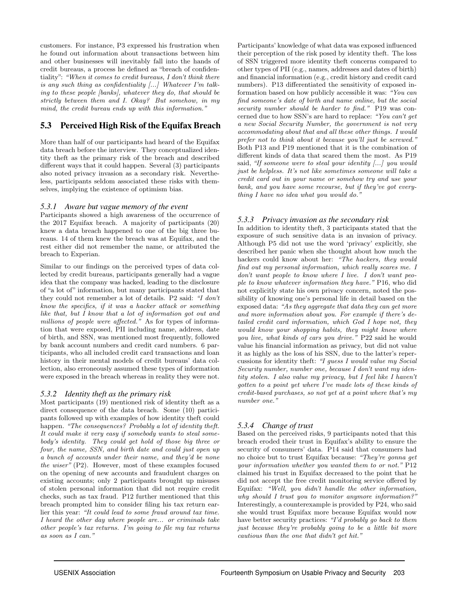customers. For instance, P3 expressed his frustration when he found out information about transactions between him and other businesses will inevitably fall into the hands of credit bureaus, a process he defined as "breach of confidentiality": "When it comes to credit bureaus, I don't think there is any such thing as confidentiality  $[...]$  Whatever I'm talking to these people [banks], whatever they do, that should be strictly between them and I. Okay? But somehow, in my mind, the credit bureau ends up with this information."

## 5.3 Perceived High Risk of the Equifax Breach

More than half of our participants had heard of the Equifax data breach before the interview. They conceptualized identity theft as the primary risk of the breach and described different ways that it could happen. Several (3) participants also noted privacy invasion as a secondary risk. Nevertheless, participants seldom associated these risks with themselves, implying the existence of optimism bias.

#### *5.3.1 Aware but vague memory of the event*

Participants showed a high awareness of the occurrence of the 2017 Equifax breach. A majority of participants (20) knew a data breach happened to one of the big three bureaus. 14 of them knew the breach was at Equifax, and the rest either did not remember the name, or attributed the breach to Experian.

Similar to our findings on the perceived types of data collected by credit bureaus, participants generally had a vague idea that the company was hacked, leading to the disclosure of "a lot of" information, but many participants stated that they could not remember a lot of details. P2 said: "I don't know the specifics, if it was a hacker attack or something like that, but I know that a lot of information got out and millions of people were affected." As for types of information that were exposed, PII including name, address, date of birth, and SSN, was mentioned most frequently, followed by bank account numbers and credit card numbers. 6 participants, who all included credit card transactions and loan history in their mental models of credit bureaus' data collection, also erroneously assumed these types of information were exposed in the breach whereas in reality they were not.

#### *5.3.2 Identity theft as the primary risk*

Most participants (19) mentioned risk of identity theft as a direct consequence of the data breach. Some (10) participants followed up with examples of how identity theft could happen. "The consequences? Probably a lot of identity theft. It could make it very easy if somebody wants to steal somebody's identity. They could get hold of those big three or four, the name, SSN, and birth date and could just open up a bunch of accounts under their name, and they'd be none the wiser" (P2). However, most of these examples focused on the opening of new accounts and fraudulent charges on existing accounts; only 2 participants brought up misuses of stolen personal information that did not require credit checks, such as tax fraud. P12 further mentioned that this breach prompted him to consider filing his tax return earlier this year: "It could lead to some fraud around tax time. I heard the other day where people are... or criminals take other people's tax returns. I'm going to file my tax returns as soon as I can."

Participants' knowledge of what data was exposed influenced their perception of the risk posed by identity theft. The loss of SSN triggered more identity theft concerns compared to other types of PII (e.g., names, addresses and dates of birth) and financial information (e.g., credit history and credit card numbers). P13 differentiated the sensitivity of exposed information based on how publicly accessible it was: "You can find someone's date of birth and name online, but the social security number should be harder to find." P19 was concerned due to how SSN's are hard to replace: "You can't get a new Social Security Number, the government is not very accommodating about that and all these other things. I would prefer not to think about it because you'll just be screwed." Both P13 and P19 mentioned that it is the combination of different kinds of data that scared them the most. As P19 said, "If someone were to steal your identity [...] you would just be helpless. It's not like sometimes someone will take a credit card out in your name or somehow try and use your bank, and you have some recourse, but if they've got everything I have no idea what you would do."

#### *5.3.3 Privacy invasion as the secondary risk*

In addition to identity theft, 3 participants stated that the exposure of such sensitive data is an invasion of privacy. Although P5 did not use the word 'privacy' explicitly, she described her panic when she thought about how much the hackers could know about her: "The hackers, they would find out my personal information, which really scares me. I don't want people to know where I live. I don't want people to know whatever information they have." P16, who did not explicitly state his own privacy concern, noted the possibility of knowing one's personal life in detail based on the exposed data: "As they aggregate that data they can get more and more information about you. For example if there's detailed credit card information, which God I hope not, they would know your shopping habits, they might know where you live, what kinds of cars you drive." P22 said he would value his financial information as privacy, but did not value it as highly as the loss of his SSN, due to the latter's repercussions for identity theft: "I guess I would value my Social Security number, number one, because I don't want my identity stolen. I also value my privacy, but I feel like I haven't gotten to a point yet where I've made lots of these kinds of credit-based purchases, so not yet at a point where that's my number one."

### *5.3.4 Change of trust*

Based on the perceived risks, 9 participants noted that this breach eroded their trust in Equifax's ability to ensure the security of consumers' data. P14 said that consumers had no choice but to trust Equifax because: "They're gonna get your information whether you wanted them to or not." P12 claimed his trust in Equifax decreased to the point that he did not accept the free credit monitoring service offered by Equifax: "Well, you didn't handle the other information, why should I trust you to monitor anymore information?" Interestingly, a counterexample is provided by P24, who said she would trust Equifax more because Equifax would now have better security practices: "I'd probably go back to them just because they're probably going to be a little bit more cautious than the one that didn't get hit."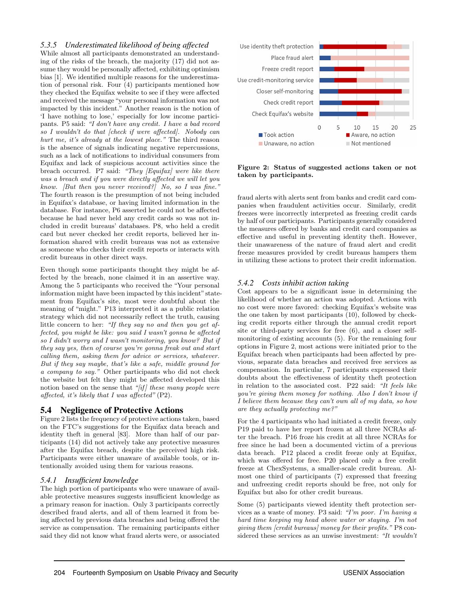#### *5.3.5 Underestimated likelihood of being affected*

While almost all participants demonstrated an understanding of the risks of the breach, the majority (17) did not assume they would be personally affected, exhibiting optimism bias [1]. We identified multiple reasons for the underestimation of personal risk. Four (4) participants mentioned how they checked the Equifax website to see if they were affected and received the message "your personal information was not impacted by this incident." Another reason is the notion of 'I have nothing to lose,' especially for low income participants. P5 said: "I don't have any credit. I have a bad record so I wouldn't do that [check if were affected]. Nobody can hurt me, it's already at the lowest place." The third reason is the absence of signals indicating negative repercussions, such as a lack of notifications to individual consumers from Equifax and lack of suspicious account activities since the breach occurred. P7 said: "They [Equifax] were like there was a breach and if you were directly affected we will let you know. [But then you never received?] No, so I was fine." The fourth reason is the presumption of not being included in Equifax's database, or having limited information in the database. For instance, P6 asserted he could not be affected because he had never held any credit cards so was not included in credit bureaus' databases. P8, who held a credit card but never checked her credit reports, believed her information shared with credit bureaus was not as extensive as someone who checks their credit reports or interacts with credit bureaus in other direct ways.

Even though some participants thought they might be affected by the breach, none claimed it in an assertive way. Among the 5 participants who received the "Your personal information might have been impacted by this incident" statement from Equifax's site, most were doubtful about the meaning of "might." P13 interpreted it as a public relation strategy which did not necessarily reflect the truth, causing little concern to her: "If they say no and then you get affected, you might be like: you said I wasn't gonna be affected so I didn't worry and I wasn't monitoring, you know? But if they say yes, then of course you're gonna freak out and start calling them, asking them for advice or services, whatever. But if they say maybe, that's like a safe, middle ground for a company to say." Other participants who did not check the website but felt they might be affected developed this notion based on the sense that " $[if]$  these many people were affected, it's likely that I was affected" (P2).

#### 5.4 Negligence of Protective Actions

Figure 2 lists the frequency of protective actions taken, based on the FTC's suggestions for the Equifax data breach and identity theft in general [83]. More than half of our participants (14) did not actively take any protective measures after the Equifax breach, despite the perceived high risk. Participants were either unaware of available tools, or intentionally avoided using them for various reasons.

#### *5.4.1 Insufficient knowledge*

The high portion of participants who were unaware of available protective measures suggests insufficient knowledge as a primary reason for inaction. Only 3 participants correctly described fraud alerts, and all of them learned it from being affected by previous data breaches and being offered the service as compensation. The remaining participants either said they did not know what fraud alerts were, or associated



Figure 2: Status of suggested actions taken or not taken by participants.

fraud alerts with alerts sent from banks and credit card companies when fraudulent activities occur. Similarly, credit freezes were incorrectly interpreted as freezing credit cards by half of our participants. Participants generally considered the measures offered by banks and credit card companies as effective and useful in preventing identity theft. However, their unawareness of the nature of fraud alert and credit freeze measures provided by credit bureaus hampers them in utilizing these actions to protect their credit information.

#### *5.4.2 Costs inhibit action taking*

Cost appears to be a significant issue in determining the likelihood of whether an action was adopted. Actions with no cost were more favored: checking Equifax's website was the one taken by most participants (10), followed by checking credit reports either through the annual credit report site or third-party services for free (6), and a closer selfmonitoring of existing accounts (5). For the remaining four options in Figure 2, most actions were initiated prior to the Equifax breach when participants had been affected by previous, separate data breaches and received free services as compensation. In particular, 7 participants expressed their doubts about the effectiveness of identity theft protection in relation to the associated cost. P22 said: "It feels like you're giving them money for nothing. Also I don't know if I believe them because they can't own all of my data, so how are they actually protecting me?"

For the 4 participants who had initiated a credit freeze, only P19 paid to have her report frozen at all three NCRAs after the breach. P16 froze his credit at all three NCRAs for free since he had been a documented victim of a previous data breach. P12 placed a credit freeze only at Equifax, which was offered for free. P20 placed only a free credit freeze at ChexSystems, a smaller-scale credit bureau. Almost one third of participants (7) expressed that freezing and unfreezing credit reports should be free, not only for Equifax but also for other credit bureaus.

Some (5) participants viewed identity theft protection services as a waste of money. P3 said: "I'm poor. I'm having a hard time keeping my head above water or staying. I'm not giving them [credit bureaus] money for their profits." P8 considered these services as an unwise investment: "It wouldn't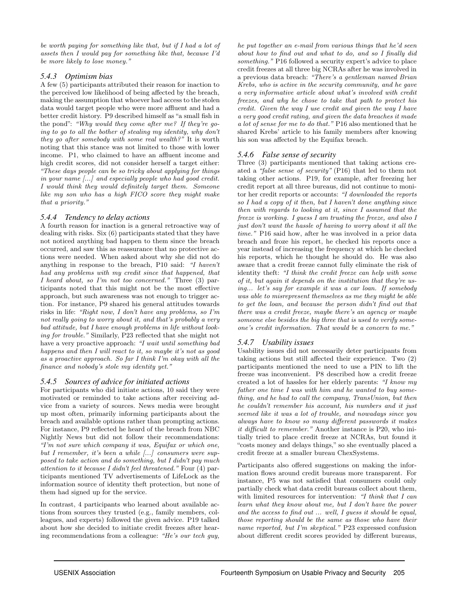be worth paying for something like that, but if I had a lot of assets then I would pay for something like that, because I'd be more likely to lose money."

#### *5.4.3 Optimism bias*

A few (5) participants attributed their reason for inaction to the perceived low likelihood of being affected by the breach, making the assumption that whoever had access to the stolen data would target people who were more affluent and had a better credit history. P9 described himself as "a small fish in the pond": "Why would they come after me? If they're going to go to all the bother of stealing my identity, why don't they go after somebody with some real wealth?" It is worth noting that this stance was not limited to those with lower income. P1, who claimed to have an affluent income and high credit scores, did not consider herself a target either: "These days people can be so tricky about applying for things in your name [...] and especially people who had good credit. I would think they would definitely target them. Someone like my son who has a high FICO score they might make that a priority."

#### *5.4.4 Tendency to delay actions*

A fourth reason for inaction is a general retroactive way of dealing with risks. Six (6) participants stated that they have not noticed anything bad happen to them since the breach occurred, and saw this as reassurance that no protective actions were needed. When asked about why she did not do anything in response to the breach, P10 said: "I haven't had any problems with my credit since that happened, that I heard about, so I'm not too concerned." Three (3) participants noted that this might not be the most effective approach, but such awareness was not enough to trigger action. For instance, P9 shared his general attitudes towards risks in life: "Right now, I don't have any problems, so I'm not really going to worry about it, and that's probably a very bad attitude, but I have enough problems in life without looking for trouble." Similarly, P23 reflected that she might not have a very proactive approach: "I wait until something bad happens and then I will react to it, so maybe it's not as good as a proactive approach. So far I think I'm okay with all the finance and nobody's stole my identity yet."

### *5.4.5 Sources of advice for initiated actions*

For participants who did initiate actions, 10 said they were motivated or reminded to take actions after receiving advice from a variety of sources. News media were brought up most often, primarily informing participants about the breach and available options rather than prompting actions. For instance, P9 reflected he heard of the breach from NBC Nightly News but did not follow their recommendations: "I'm not sure which company it was, Equifax or which one, but I remember, it's been a while [...] consumers were supposed to take action and do something, but I didn't pay much attention to it because I didn't feel threatened." Four (4) participants mentioned TV advertisements of LifeLock as the information source of identity theft protection, but none of them had signed up for the service.

In contrast, 4 participants who learned about available actions from sources they trusted (e.g., family members, colleagues, and experts) followed the given advice. P19 talked about how she decided to initiate credit freezes after hearing recommendations from a colleague: "He's our tech guy,

he put together an e-mail from various things that he'd seen about how to find out and what to do, and so I finally did something." P16 followed a security expert's advice to place credit freezes at all three big NCRAs after he was involved in a previous data breach: "There's a gentleman named Brian Krebs, who is active in the security community, and he gave a very informative article about what's involved with credit freezes, and why he chose to take that path to protect his credit. Given the way I use credit and given the way I have a very good credit rating, and given the data breaches it made a lot of sense for me to do that." P16 also mentioned that he shared Krebs' article to his family members after knowing his son was affected by the Equifax breach.

#### *5.4.6 False sense of security*

Three (3) participants mentioned that taking actions created a "false sense of security" (P16) that led to them not taking other actions. P19, for example, after freezing her credit report at all three bureaus, did not continue to monitor her credit reports or accounts: "I downloaded the reports so I had a copy of it then, but I haven't done anything since then with regards to looking at it, since I assumed that the freeze is working. I guess I am trusting the freeze, and also I just don't want the hassle of having to worry about it all the time." P16 said how, after he was involved in a prior data breach and froze his report, he checked his reports once a year instead of increasing the frequency at which he checked his reports, which he thought he should do. He was also aware that a credit freeze cannot fully eliminate the risk of identity theft: "I think the credit freeze can help with some of it, but again it depends on the institution that they're using... let's say for example it was a car loan. If somebody was able to misrepresent themselves as me they might be able to get the loan, and because the person didn't find out that there was a credit freeze, maybe there's an agency or maybe someone else besides the big three that is used to verify someone's credit information. That would be a concern to me."

### *5.4.7 Usability issues*

Usability issues did not necessarily deter participants from taking actions but still affected their experience. Two (2) participants mentioned the need to use a PIN to lift the freeze was inconvenient. P8 described how a credit freeze created a lot of hassles for her elderly parents: "I know my father one time I was with him and he wanted to buy something, and he had to call the company, TransUnion, but then he couldn't remember his account, his numbers and it just seemed like it was a lot of trouble, and nowadays since you always have to know so many different passwords it makes it difficult to remember." Another instance is P20, who initially tried to place credit freeze at NCRAs, but found it "costs money and delays things," so she eventually placed a credit freeze at a smaller bureau ChexSystems.

Participants also offered suggestions on making the information flows around credit bureaus more transparent. For instance, P5 was not satisfied that consumers could only partially check what data credit bureaus collect about them, with limited resources for intervention: "I think that I can learn what they know about me, but I don't have the power and the access to find out ... well, I guess it should be equal, those reporting should be the same as those who have their name reported, but I'm skeptical." P23 expressed confusion about different credit scores provided by different bureaus,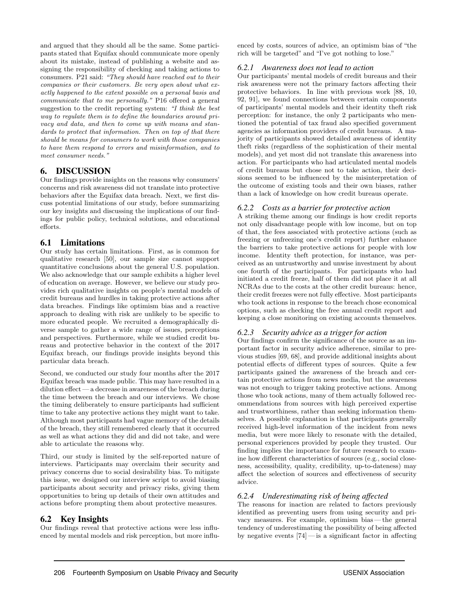and argued that they should all be the same. Some participants stated that Equifax should communicate more openly about its mistake, instead of publishing a website and assigning the responsibility of checking and taking actions to consumers. P21 said: "They should have reached out to their companies or their customers. Be very open about what exactly happened to the extent possible on a personal basis and communicate that to me personally." P16 offered a general suggestion to the credit reporting system: "I think the best way to regulate them is to define the boundaries around privacy and data, and then to come up with means and standards to protect that information. Then on top of that there should be means for consumers to work with those companies to have them respond to errors and misinformation, and to meet consumer needs."

## 6. DISCUSSION

Our findings provide insights on the reasons why consumers' concerns and risk awareness did not translate into protective behaviors after the Equifax data breach. Next, we first discuss potential limitations of our study, before summarizing our key insights and discussing the implications of our findings for public policy, technical solutions, and educational efforts.

### 6.1 Limitations

Our study has certain limitations. First, as is common for qualitative research [50], our sample size cannot support quantitative conclusions about the general U.S. population. We also acknowledge that our sample exhibits a higher level of education on average. However, we believe our study provides rich qualitative insights on people's mental models of credit bureaus and hurdles in taking protective actions after data breaches. Findings like optimism bias and a reactive approach to dealing with risk are unlikely to be specific to more educated people. We recruited a demographically diverse sample to gather a wide range of issues, perceptions and perspectives. Furthermore, while we studied credit bureaus and protective behavior in the context of the 2017 Equifax breach, our findings provide insights beyond this particular data breach.

Second, we conducted our study four months after the 2017 Equifax breach was made public. This may have resulted in a dilution effect— a decrease in awareness of the breach during the time between the breach and our interviews. We chose the timing deliberately to ensure participants had sufficient time to take any protective actions they might want to take. Although most participants had vague memory of the details of the breach, they still remembered clearly that it occurred as well as what actions they did and did not take, and were able to articulate the reasons why.

Third, our study is limited by the self-reported nature of interviews. Participants may overclaim their security and privacy concerns due to social desirability bias. To mitigate this issue, we designed our interview script to avoid biasing participants about security and privacy risks, giving them opportunities to bring up details of their own attitudes and actions before prompting them about protective measures.

## 6.2 Key Insights

Our findings reveal that protective actions were less influenced by mental models and risk perception, but more influenced by costs, sources of advice, an optimism bias of "the rich will be targeted" and "I've got nothing to lose."

#### *6.2.1 Awareness does not lead to action*

Our participants' mental models of credit bureaus and their risk awareness were not the primary factors affecting their protective behaviors. In line with previous work [88, 10, 92, 91], we found connections between certain components of participants' mental models and their identity theft risk perception: for instance, the only 2 participants who mentioned the potential of tax fraud also specified government agencies as information providers of credit bureaus. A majority of participants showed detailed awareness of identity theft risks (regardless of the sophistication of their mental models), and yet most did not translate this awareness into action. For participants who had articulated mental models of credit bureaus but chose not to take action, their decisions seemed to be influenced by the misinterpretation of the outcome of existing tools and their own biases, rather than a lack of knowledge on how credit bureaus operate.

#### *6.2.2 Costs as a barrier for protective action*

A striking theme among our findings is how credit reports not only disadvantage people with low income, but on top of that, the fees associated with protective actions (such as freezing or unfreezing one's credit report) further enhance the barriers to take protective actions for people with low income. Identity theft protection, for instance, was perceived as an untrustworthy and unwise investment by about one fourth of the participants. For participants who had initiated a credit freeze, half of them did not place it at all NCRAs due to the costs at the other credit bureaus: hence, their credit freezes were not fully effective. Most participants who took actions in response to the breach chose economical options, such as checking the free annual credit report and keeping a close monitoring on existing accounts themselves.

#### *6.2.3 Security advice as a trigger for action*

Our findings confirm the significance of the source as an important factor in security advice adherence, similar to previous studies [69, 68], and provide additional insights about potential effects of different types of sources. Quite a few participants gained the awareness of the breach and certain protective actions from news media, but the awareness was not enough to trigger taking protective actions. Among those who took actions, many of them actually followed recommendations from sources with high perceived expertise and trustworthiness, rather than seeking information themselves. A possible explanation is that participants generally received high-level information of the incident from news media, but were more likely to resonate with the detailed, personal experiences provided by people they trusted. Our finding implies the importance for future research to examine how different characteristics of sources (e.g., social closeness, accessibility, quality, credibility, up-to-dateness) may affect the selection of sources and effectiveness of security advice.

#### *6.2.4 Underestimating risk of being affected*

The reasons for inaction are related to factors previously identified as preventing users from using security and privacy measures. For example, optimism bias— the general tendency of underestimating the possibility of being affected by negative events  $[74]$  — is a significant factor in affecting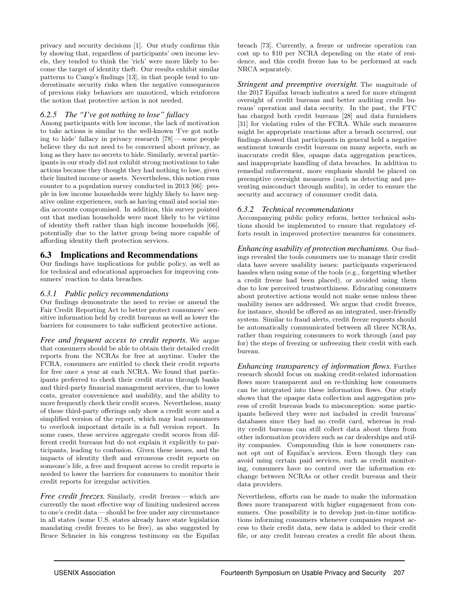privacy and security decisions [1]. Our study confirms this by showing that, regardless of participants' own income levels, they tended to think the 'rich' were more likely to become the target of identity theft. Our results exhibit similar patterns to Camp's findings [13], in that people tend to underestimate security risks when the negative consequences of previous risky behaviors are unnoticed, which reinforces the notion that protective action is not needed.

#### *6.2.5 The "I've got nothing to lose" fallacy*

Among participants with low income, the lack of motivation to take actions is similar to the well-known 'I've got nothing to hide' fallacy in privacy research [78]— some people believe they do not need to be concerned about privacy, as long as they have no secrets to hide. Similarly, several participants in our study did not exhibit strong motivations to take actions because they thought they had nothing to lose, given their limited income or assets. Nevertheless, this notion runs counter to a population survey conducted in 2013 [66]: people in low income households were highly likely to have negative online experiences, such as having email and social media accounts compromised. In addition, this survey pointed out that median households were most likely to be victims of identity theft rather than high income households [66], potentially due to the latter group being more capable of affording identity theft protection services.

### 6.3 Implications and Recommendations

Our findings have implications for public policy, as well as for technical and educational approaches for improving consumers' reaction to data breaches.

#### *6.3.1 Public policy recommendations*

Our findings demonstrate the need to revise or amend the Fair Credit Reporting Act to better protect consumers' sensitive information held by credit bureaus as well as lower the barriers for consumers to take sufficient protective actions.

*Free and frequent access to credit reports.* We argue that consumers should be able to obtain their detailed credit reports from the NCRAs for free at anytime. Under the FCRA, consumers are entitled to check their credit reports for free once a year at each NCRA. We found that participants preferred to check their credit status through banks and third-party financial management services, due to lower costs, greater convenience and usability, and the ability to more frequently check their credit scores. Nevertheless, many of these third-party offerings only show a credit score and a simplified version of the report, which may lead consumers to overlook important details in a full version report. In some cases, these services aggregate credit scores from different credit bureaus but do not explain it explicitly to participants, leading to confusion. Given these issues, and the impacts of identity theft and erroneous credit reports on someone's life, a free and frequent access to credit reports is needed to lower the barriers for consumers to monitor their credit reports for irregular activities.

*Free credit freezes.* Similarly, credit freezes— which are currently the most effective way of limiting undesired access to one's credit data— should be free under any circumstance in all states (some U.S. states already have state legislation mandating credit freezes to be free), as also suggested by Bruce Schneier in his congress testimony on the Equifax breach [73]. Currently, a freeze or unfreeze operation can cost up to \$10 per NCRA depending on the state of residence, and this credit freeze has to be performed at each NRCA separately.

*Stringent and preemptive oversight.* The magnitude of the 2017 Equifax breach indicates a need for more stringent oversight of credit bureaus and better auditing credit bureaus' operation and data security. In the past, the FTC has charged both credit bureaus [28] and data furnishers [31] for violating rules of the FCRA. While such measures might be appropriate reactions after a breach occurred, our findings showed that participants in general held a negative sentiment towards credit bureaus on many aspects, such as inaccurate credit files, opaque data aggregation practices, and inappropriate handling of data breaches. In addition to remedial enforcement, more emphasis should be placed on preemptive oversight measures (such as detecting and preventing misconduct through audits), in order to ensure the security and accuracy of consumer credit data.

#### *6.3.2 Technical recommendations*

Accompanying public policy reform, better technical solutions should be implemented to ensure that regulatory efforts result in improved protective measures for consumers.

*Enhancing usability of protection mechanisms.* Our findings revealed the tools consumers use to manage their credit data have severe usability issues: participants experienced hassles when using some of the tools (e.g., forgetting whether a credit freeze had been placed), or avoided using them due to low perceived trustworthiness. Educating consumers about protective actions would not make sense unless these usability issues are addressed. We argue that credit freezes, for instance, should be offered as an integrated, user-friendly system. Similar to fraud alerts, credit freeze requests should be automatically communicated between all three NCRAs, rather than requiring consumers to work through (and pay for) the steps of freezing or unfreezing their credit with each bureau.

*Enhancing transparency of information flows.* Further research should focus on making credit-related information flows more transparent and on re-thinking how consumers can be integrated into these information flows. Our study shows that the opaque data collection and aggregation process of credit bureaus leads to misconception: some participants believed they were not included in credit bureaus' databases since they had no credit card, whereas in reality credit bureaus can still collect data about them from other information providers such as car dealerships and utility companies. Compounding this is how consumers cannot opt out of Equifax's services. Even though they can avoid using certain paid services, such as credit monitoring, consumers have no control over the information exchange between NCRAs or other credit bureaus and their data providers.

Nevertheless, efforts can be made to make the information flows more transparent with higher engagement from consumers. One possibility is to develop just-in-time notifications informing consumers whenever companies request access to their credit data, new data is added to their credit file, or any credit bureau creates a credit file about them.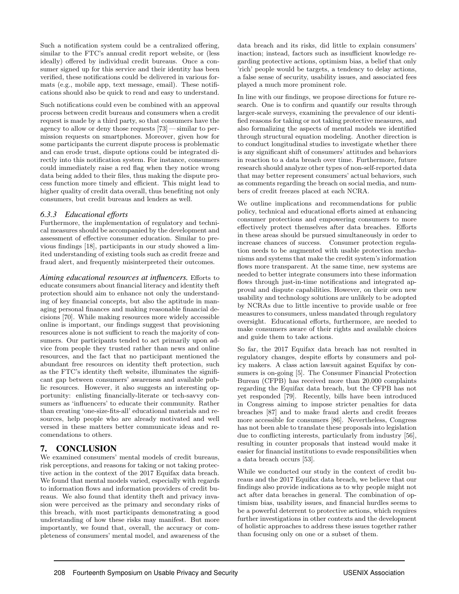Such a notification system could be a centralized offering, similar to the FTC's annual credit report website, or (less ideally) offered by individual credit bureaus. Once a consumer signed up for this service and their identity has been verified, these notifications could be delivered in various formats (e.g., mobile app, text message, email). These notifications should also be quick to read and easy to understand.

Such notifications could even be combined with an approval process between credit bureaus and consumers when a credit request is made by a third party, so that consumers have the agency to allow or deny those requests [73]— similar to permission requests on smartphones. Moreover, given how for some participants the current dispute process is problematic and can erode trust, dispute options could be integrated directly into this notification system. For instance, consumers could immediately raise a red flag when they notice wrong data being added to their files, thus making the dispute process function more timely and efficient. This might lead to higher quality of credit data overall, thus benefiting not only consumers, but credit bureaus and lenders as well.

#### *6.3.3 Educational efforts*

Furthermore, the implementation of regulatory and technical measures should be accompanied by the development and assessment of effective consumer education. Similar to previous findings [18], participants in our study showed a limited understanding of existing tools such as credit freeze and fraud alert, and frequently misinterpreted their outcomes.

*Aiming educational resources at influencers.* Efforts to educate consumers about financial literacy and identity theft protection should aim to enhance not only the understanding of key financial concepts, but also the aptitude in managing personal finances and making reasonable financial decisions [70]. While making resources more widely accessible online is important, our findings suggest that provisioning resources alone is not sufficient to reach the majority of consumers. Our participants tended to act primarily upon advice from people they trusted rather than news and online resources, and the fact that no participant mentioned the abundant free resources on identity theft protection, such as the FTC's identity theft website, illuminates the significant gap between consumers' awareness and available public resources. However, it also suggests an interesting opportunity: enlisting financially-literate or tech-savvy consumers as 'influencers' to educate their community. Rather than creating 'one-size-fits-all' educational materials and resources, help people who are already motivated and well versed in these matters better communicate ideas and recomendations to others.

## 7. CONCLUSION

We examined consumers' mental models of credit bureaus, risk perceptions, and reasons for taking or not taking protective action in the context of the 2017 Equifax data breach. We found that mental models varied, especially with regards to information flows and information providers of credit bureaus. We also found that identity theft and privacy invasion were perceived as the primary and secondary risks of this breach, with most participants demonstrating a good understanding of how these risks may manifest. But more importantly, we found that, overall, the accuracy or completeness of consumers' mental model, and awareness of the

data breach and its risks, did little to explain consumers' inaction; instead, factors such as insufficient knowledge regarding protective actions, optimism bias, a belief that only 'rich' people would be targets, a tendency to delay actions, a false sense of security, usability issues, and associated fees played a much more prominent role.

In line with our findings, we propose directions for future research. One is to confirm and quantify our results through larger-scale surveys, examining the prevalence of our identified reasons for taking or not taking protective measures, and also formalizing the aspects of mental models we identified through structural equation modeling. Another direction is to conduct longitudinal studies to investigate whether there is any significant shift of consumers' attitudes and behaviors in reaction to a data breach over time. Furthermore, future research should analyze other types of non-self-reported data that may better represent consumers' actual behaviors, such as comments regarding the breach on social media, and numbers of credit freezes placed at each NCRA.

We outline implications and recommendations for public policy, technical and educational efforts aimed at enhancing consumer protections and empowering consumers to more effectively protect themselves after data breaches. Efforts in these areas should be pursued simultaneously in order to increase chances of success. Consumer protection regulation needs to be augmented with usable protection mechanisms and systems that make the credit system's information flows more transparent. At the same time, new systems are needed to better integrate consumers into these information flows through just-in-time notifications and integrated approval and dispute capabilities. However, on their own new usability and technology solutions are unlikely to be adopted by NCRAs due to little incentive to provide usable or free measures to consumers, unless mandated through regulatory oversight. Educational efforts, furthermore, are needed to make consumers aware of their rights and available choices and guide them to take actions.

So far, the 2017 Equifax data breach has not resulted in regulatory changes, despite efforts by consumers and policy makers. A class action lawsuit against Equifax by consumers is on-going [5]. The Consumer Financial Protection Bureau (CFPB) has received more than 20,000 complaints regarding the Equifax data breach, but the CFPB has not yet responded [79]. Recently, bills have been introduced in Congress aiming to impose stricter penalties for data breaches [87] and to make fraud alerts and credit freezes more accessible for consumers [86]. Nevertheless, Congress has not been able to translate these proposals into legislation due to conflicting interests, particularly from industry [56], resulting in counter proposals that instead would make it easier for financial institutions to evade responsibilities when a data breach occurs [53].

While we conducted our study in the context of credit bureaus and the 2017 Equifax data breach, we believe that our findings also provide indications as to why people might not act after data breaches in general. The combination of optimism bias, usability issues, and financial hurdles seems to be a powerful deterrent to protective actions, which requires further investigations in other contexts and the development of holistic approaches to address these issues together rather than focusing only on one or a subset of them.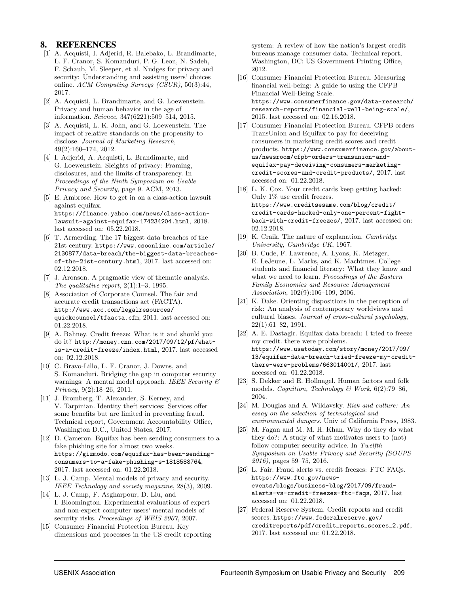## 8. REFERENCES

- [1] A. Acquisti, I. Adjerid, R. Balebako, L. Brandimarte, L. F. Cranor, S. Komanduri, P. G. Leon, N. Sadeh, F. Schaub, M. Sleeper, et al. Nudges for privacy and security: Understanding and assisting users' choices online. ACM Computing Surveys (CSUR), 50(3):44, 2017.
- [2] A. Acquisti, L. Brandimarte, and G. Loewenstein. Privacy and human behavior in the age of information. Science, 347(6221):509–514, 2015.
- [3] A. Acquisti, L. K. John, and G. Loewenstein. The impact of relative standards on the propensity to disclose. Journal of Marketing Research, 49(2):160–174, 2012.
- [4] I. Adjerid, A. Acquisti, L. Brandimarte, and G. Loewenstein. Sleights of privacy: Framing, disclosures, and the limits of transparency. In Proceedings of the Ninth Symposium on Usable Privacy and Security, page 9. ACM, 2013.
- [5] E. Ambrose. How to get in on a class-action lawsuit against equifax. https://finance.yahoo.com/news/class-actionlawsuit-against-equifax-174234204.html, 2018. last accessed on: 05.22.2018.
- [6] T. Armerding. The 17 biggest data breaches of the 21st century. https://www.csoonline.com/article/ 2130877/data-breach/the-biggest-data-breachesof-the-21st-century.html, 2017. last accessed on: 02.12.2018.
- [7] J. Aronson. A pragmatic view of thematic analysis. The qualitative report,  $2(1):1-3$ , 1995.
- [8] Association of Corporate Counsel. The fair and accurate credit transactions act (FACTA). http://www.acc.com/legalresources/ quickcounsel/tfaacta.cfm, 2011. last accessed on: 01.22.2018.
- [9] A. Bahney. Credit freeze: What is it and should you do it? http://money.cnn.com/2017/09/12/pf/whatis-a-credit-freeze/index.html, 2017. last accessed on: 02.12.2018.
- [10] C. Bravo-Lillo, L. F. Cranor, J. Downs, and S. Komanduri. Bridging the gap in computer security warnings: A mental model approach. IEEE Security  $\mathcal C$ Privacy, 9(2):18–26, 2011.
- [11] J. Bromberg, T. Alexander, S. Kerney, and V. Tarpinian. Identity theft services: Services offer some benefits but are limited in preventing fraud. Technical report, Government Accountability Office, Washington D.C., United States, 2017.
- [12] D. Cameron. Equifax has been sending consumers to a fake phishing site for almost two weeks. https://gizmodo.com/equifax-has-been-sendingconsumers-to-a-fake-phishing-s-1818588764, 2017. last accessed on: 01.22.2018.
- [13] L. J. Camp. Mental models of privacy and security. IEEE Technology and society magazine, 28(3), 2009.
- [14] L. J. Camp, F. Asgharpour, D. Liu, and I. Bloomington. Experimental evaluations of expert and non-expert computer users' mental models of security risks. Proceedings of WEIS 2007, 2007.
- [15] Consumer Financial Protection Bureau. Key dimensions and processes in the US credit reporting

system: A review of how the nation's largest credit bureaus manage consumer data. Technical report, Washington, DC: US Government Printing Office, 2012.

- [16] Consumer Financial Protection Bureau. Measuring financial well-being: A guide to using the CFPB Financial Well-Being Scale. https://www.consumerfinance.gov/data-research/ research-reports/financial-well-being-scale/, 2015. last accessed on: 02.16.2018.
- [17] Consumer Financial Protection Bureau. CFPB orders TransUnion and Equifax to pay for deceiving consumers in marketing credit scores and credit products. https://www.consumerfinance.gov/aboutus/newsroom/cfpb-orders-transunion-andequifax-pay-deceiving-consumers-marketingcredit-scores-and-credit-products/, 2017. last accessed on: 01.22.2018.
- [18] L. K. Cox. Your credit cards keep getting hacked: Only 1% use credit freezes. https://www.creditsesame.com/blog/credit/ credit-cards-hacked-only-one-percent-fightback-with-credit-freezes/, 2017. last accessed on: 02.12.2018.
- [19] K. Craik. The nature of explanation. Cambridge University, Cambridge UK, 1967.
- [20] B. Cude, F. Lawrence, A. Lyons, K. Metzger, E. LeJeune, L. Marks, and K. Machtmes. College students and financial literacy: What they know and what we need to learn. Proceedings of the Eastern Family Economics and Resource Management Association, 102(9):106–109, 2006.
- [21] K. Dake. Orienting dispositions in the perception of risk: An analysis of contemporary worldviews and cultural biases. Journal of cross-cultural psychology, 22(1):61–82, 1991.
- [22] A. E. Dastagir. Equifax data breach: I tried to freeze my credit. there were problems. https://www.usatoday.com/story/money/2017/09/ 13/equifax-data-breach-tried-freeze-my-creditthere-were-problems/663014001/, 2017. last accessed on: 01.22.2018.
- [23] S. Dekker and E. Hollnagel. Human factors and folk models. Cognition, Technology & Work,  $6(2)$ :79–86, 2004.
- [24] M. Douglas and A. Wildavsky. Risk and culture: An essay on the selection of technological and environmental dangers. Univ of California Press, 1983.
- [25] M. Fagan and M. M. H. Khan. Why do they do what they do?: A study of what motivates users to (not) follow computer security advice. In Twelfth Symposium on Usable Privacy and Security (SOUPS 2016), pages 59–75, 2016.
- [26] L. Fair. Fraud alerts vs. credit freezes: FTC FAQs. https://www.ftc.gov/newsevents/blogs/business-blog/2017/09/fraudalerts-vs-credit-freezes-ftc-faqs, 2017. last accessed on: 01.22.2018.
- [27] Federal Reserve System. Credit reports and credit scores. https://www.federalreserve.gov/ creditreports/pdf/credit\_reports\_scores\_2.pdf, 2017. last accessed on: 01.22.2018.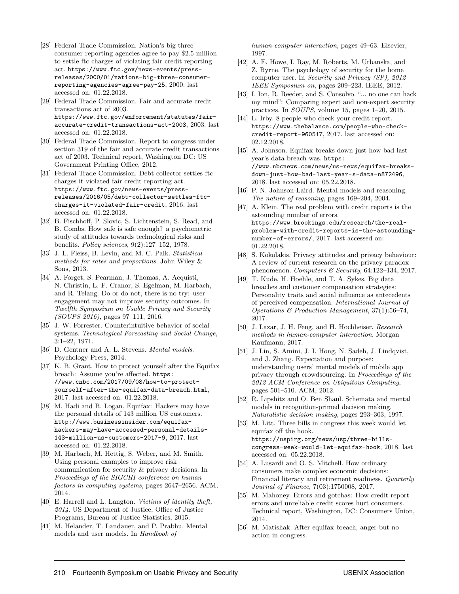- [28] Federal Trade Commission. Nation's big three consumer reporting agencies agree to pay \$2.5 million to settle ftc charges of violating fair credit reporting act. https://www.ftc.gov/news-events/pressreleases/2000/01/nations-big-three-consumerreporting-agencies-agree-pay-25, 2000. last accessed on: 01.22.2018.
- [29] Federal Trade Commission. Fair and accurate credit transactions act of 2003. https://www.ftc.gov/enforcement/statutes/fairaccurate-credit-transactions-act-2003, 2003. last accessed on: 01.22.2018.
- [30] Federal Trade Commission. Report to congress under section 319 of the fair and accurate credit transactions act of 2003. Technical report, Washington DC: US Government Printing Office, 2012.
- [31] Federal Trade Commission. Debt collector settles ftc charges it violated fair credit reporting act. https://www.ftc.gov/news-events/pressreleases/2016/05/debt-collector-settles-ftccharges-it-violated-fair-credit, 2016. last accessed on: 01.22.2018.
- [32] B. Fischhoff, P. Slovic, S. Lichtenstein, S. Read, and B. Combs. How safe is safe enough? a psychometric study of attitudes towards technological risks and benefits. Policy sciences, 9(2):127–152, 1978.
- [33] J. L. Fleiss, B. Levin, and M. C. Paik. Statistical methods for rates and proportions. John Wiley & Sons, 2013.
- [34] A. Forget, S. Pearman, J. Thomas, A. Acquisti, N. Christin, L. F. Cranor, S. Egelman, M. Harbach, and R. Telang. Do or do not, there is no try: user engagement may not improve security outcomes. In Twelfth Symposium on Usable Privacy and Security (SOUPS 2016), pages 97–111, 2016.
- [35] J. W. Forrester. Counterintuitive behavior of social systems. Technological Forecasting and Social Change, 3:1–22, 1971.
- [36] D. Gentner and A. L. Stevens. *Mental models*. Psychology Press, 2014.
- [37] K. B. Grant. How to protect yourself after the Equifax breach: Assume you're affected. https: //www.cnbc.com/2017/09/08/how-to-protectyourself-after-the-equifax-data-breach.html, 2017. last accessed on: 01.22.2018.
- [38] M. Hadi and B. Logan. Equifax: Hackers may have the personal details of 143 million US customers. http://www.businessinsider.com/equifaxhackers-may-have-accessed-personal-details-143-million-us-customers-2017-9, 2017. last accessed on: 01.22.2018.
- [39] M. Harbach, M. Hettig, S. Weber, and M. Smith. Using personal examples to improve risk communication for security & privacy decisions. In Proceedings of the SIGCHI conference on human factors in computing systems, pages 2647–2656. ACM, 2014.
- [40] E. Harrell and L. Langton. Victims of identity theft, 2014. US Department of Justice, Office of Justice Programs, Bureau of Justice Statistics, 2015.
- [41] M. Helander, T. Landauer, and P. Prabhu. Mental models and user models. In Handbook of

human-computer interaction, pages 49–63. Elsevier, 1997.

- [42] A. E. Howe, I. Ray, M. Roberts, M. Urbanska, and Z. Byrne. The psychology of security for the home computer user. In Security and Privacy (SP), 2012 IEEE Symposium on, pages 209–223. IEEE, 2012.
- [43] I. Ion, R. Reeder, and S. Consolvo. "... no one can hack my mind": Comparing expert and non-expert security practices. In SOUPS, volume 15, pages 1–20, 2015.
- [44] L. Irby. 8 people who check your credit report. https://www.thebalance.com/people-who-checkcredit-report-960517, 2017. last accessed on: 02.12.2018.
- [45] A. Johnson. Equifax breaks down just how bad last year's data breach was. https: //www.nbcnews.com/news/us-news/equifax-breaksdown-just-how-bad-last-year-s-data-n872496, 2018. last accessed on: 05.22.2018.
- [46] P. N. Johnson-Laird. Mental models and reasoning. The nature of reasoning, pages 169–204, 2004.
- [47] A. Klein. The real problem with credit reports is the astounding number of errors. https://www.brookings.edu/research/the-realproblem-with-credit-reports-is-the-astoundingnumber-of-errors/, 2017. last accessed on: 01.22.2018.
- [48] S. Kokolakis. Privacy attitudes and privacy behaviour: A review of current research on the privacy paradox phenomenon. Computers & Security,  $64:122-134$ ,  $2017$ .
- [49] T. Kude, H. Hoehle, and T. A. Sykes. Big data breaches and customer compensation strategies: Personality traits and social influence as antecedents of perceived compensation. International Journal of Operations & Production Management, 37(1):56–74, 2017.
- [50] J. Lazar, J. H. Feng, and H. Hochheiser. Research methods in human-computer interaction. Morgan Kaufmann, 2017.
- [51] J. Lin, S. Amini, J. I. Hong, N. Sadeh, J. Lindqvist, and J. Zhang. Expectation and purpose: understanding users' mental models of mobile app privacy through crowdsourcing. In Proceedings of the 2012 ACM Conference on Ubiquitous Computing, pages 501–510. ACM, 2012.
- [52] R. Lipshitz and O. Ben Shaul. Schemata and mental models in recognition-primed decision making. Naturalistic decision making, pages 293–303, 1997.
- [53] M. Litt. Three bills in congress this week would let equifax off the hook. https://uspirg.org/news/usp/three-billscongress-week-would-let-equifax-hook, 2018. last accessed on: 05.22.2018.
- [54] A. Lusardi and O. S. Mitchell. How ordinary consumers make complex economic decisions: Financial literacy and retirement readiness. Quarterly Journal of Finance, 7(03):1750008, 2017.
- [55] M. Mahoney. Errors and gotchas: How credit report errors and unreliable credit scores hurt consumers. Technical report, Washington, DC: Consumers Union, 2014.
- [56] M. Matishak. After equifax breach, anger but no action in congress.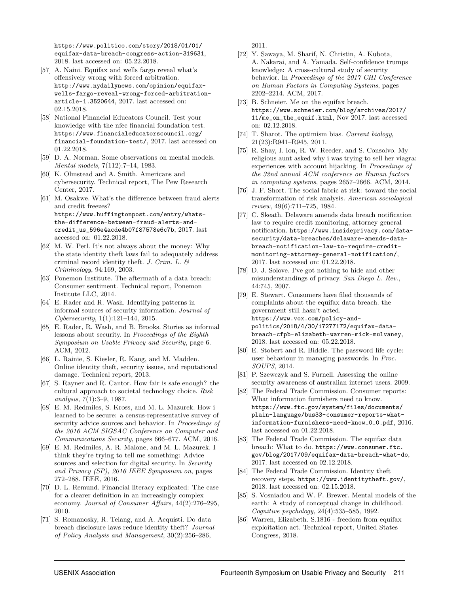https://www.politico.com/story/2018/01/01/ equifax-data-breach-congress-action-319631, 2018. last accessed on: 05.22.2018.

- [57] A. Naini. Equifax and wells fargo reveal what's offensively wrong with forced arbitration. http://www.nydailynews.com/opinion/equifaxwells-fargo-reveal-wrong-forced-arbitrationarticle-1.3520644, 2017. last accessed on: 02.15.2018.
- [58] National Financial Educators Council. Test your knowledge with the nfec financial foundation test. https://www.financialeducatorscouncil.org/ financial-foundation-test/, 2017. last accessed on 01.22.2018.
- [59] D. A. Norman. Some observations on mental models. Mental models, 7(112):7–14, 1983.
- [60] K. Olmstead and A. Smith. Americans and cybersecurity. Technical report, The Pew Research Center, 2017.
- [61] M. Osakwe. What's the difference between fraud alerts and credit freezes? https://www.huffingtonpost.com/entry/whatsthe-difference-between-fraud-alerts-andcredit\_us\_596e4acde4b07f87578e6c7b, 2017. last accessed on: 01.22.2018.
- [62] M. W. Perl. It's not always about the money: Why the state identity theft laws fail to adequately address criminal record identity theft. J. Crim. L.  $\mathcal{C}$ Criminology, 94:169, 2003.
- [63] Ponemon Institute. The aftermath of a data breach: Consumer sentiment. Technical report, Ponemon Institute LLC, 2014.
- [64] E. Rader and R. Wash. Identifying patterns in informal sources of security information. Journal of Cybersecurity, 1(1):121–144, 2015.
- [65] E. Rader, R. Wash, and B. Brooks. Stories as informal lessons about security. In Proceedings of the Eighth Symposium on Usable Privacy and Security, page 6. ACM, 2012.
- [66] L. Rainie, S. Kiesler, R. Kang, and M. Madden. Online identity theft, security issues, and reputational damage. Technical report, 2013.
- [67] S. Rayner and R. Cantor. How fair is safe enough? the cultural approach to societal technology choice. Risk analysis, 7(1):3–9, 1987.
- [68] E. M. Redmiles, S. Kross, and M. L. Mazurek. How i learned to be secure: a census-representative survey of security advice sources and behavior. In *Proceedings of* the 2016 ACM SIGSAC Conference on Computer and Communications Security, pages 666–677. ACM, 2016.
- [69] E. M. Redmiles, A. R. Malone, and M. L. Mazurek. I think they're trying to tell me something: Advice sources and selection for digital security. In Security and Privacy (SP), 2016 IEEE Symposium on, pages 272–288. IEEE, 2016.
- [70] D. L. Remund. Financial literacy explicated: The case for a clearer definition in an increasingly complex economy. Journal of Consumer Affairs, 44(2):276–295, 2010.
- [71] S. Romanosky, R. Telang, and A. Acquisti. Do data breach disclosure laws reduce identity theft? Journal of Policy Analysis and Management, 30(2):256–286,

2011.

- [72] Y. Sawaya, M. Sharif, N. Christin, A. Kubota, A. Nakarai, and A. Yamada. Self-confidence trumps knowledge: A cross-cultural study of security behavior. In Proceedings of the 2017 CHI Conference on Human Factors in Computing Systems, pages 2202–2214. ACM, 2017.
- [73] B. Schneier. Me on the equifax breach. https://www.schneier.com/blog/archives/2017/ 11/me\_on\_the\_equif.html, Nov 2017. last accessed on: 02.12.2018.
- [74] T. Sharot. The optimism bias. Current biology, 21(23):R941–R945, 2011.
- [75] R. Shay, I. Ion, R. W. Reeder, and S. Consolvo. My religious aunt asked why i was trying to sell her viagra: experiences with account hijacking. In Proceedings of the 32nd annual ACM conference on Human factors in computing systems, pages 2657–2666. ACM, 2014.
- [76] J. F. Short. The social fabric at risk: toward the social transformation of risk analysis. American sociological review, 49(6):711–725, 1984.
- [77] C. Skeath. Delaware amends data breach notification law to require credit monitoring, attorney general notification. https://www.insideprivacy.com/datasecurity/data-breaches/delaware-amends-databreach-notification-law-to-require-creditmonitoring-attorney-general-notification/, 2017. last accessed on: 01.22.2018.
- [78] D. J. Solove. I've got nothing to hide and other misunderstandings of privacy. San Diego L. Rev., 44:745, 2007.
- [79] E. Stewart. Consumers have filed thousands of complaints about the equifax data breach. the government still hasn't acted. https://www.vox.com/policy-andpolitics/2018/4/30/17277172/equifax-databreach-cfpb-elizabeth-warren-mick-mulvaney, 2018. last accessed on: 05.22.2018.
- [80] E. Stobert and R. Biddle. The password life cycle: user behaviour in managing passwords. In Proc. SOUPS, 2014.
- [81] P. Szewczyk and S. Furnell. Assessing the online security awareness of australian internet users. 2009.
- [82] The Federal Trade Commission. Consumer reports: What information furnishers need to know. https://www.ftc.gov/system/files/documents/ plain-language/bus33-consumer-reports-whatinformation-furnishers-need-know\_0\_0.pdf, 2016. last accessed on 01.22.2018.
- [83] The Federal Trade Commission. The equifax data breach: What to do. https://www.consumer.ftc. gov/blog/2017/09/equifax-data-breach-what-do, 2017. last accessed on 02.12.2018.
- [84] The Federal Trade Commission. Identity theft recovery steps. https://www.identitytheft.gov/, 2018. last accessed on: 02.15.2018.
- [85] S. Vosniadou and W. F. Brewer. Mental models of the earth: A study of conceptual change in childhood. Cognitive psychology, 24(4):535–585, 1992.
- [86] Warren, Elizabeth. S.1816 freedom from equifax exploitation act. Technical report, United States Congress, 2018.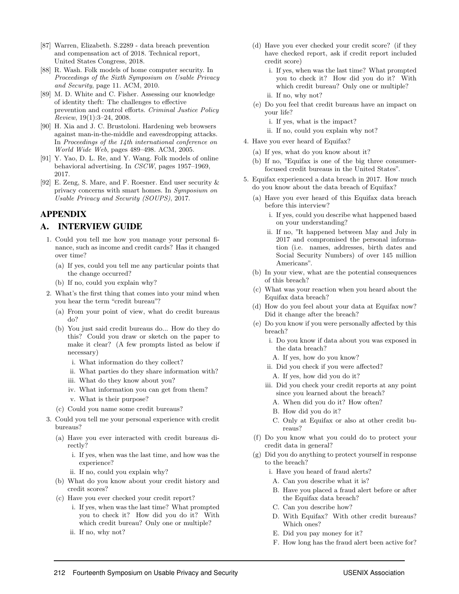- [87] Warren, Elizabeth. S.2289 data breach prevention and compensation act of 2018. Technical report, United States Congress, 2018.
- [88] R. Wash. Folk models of home computer security. In Proceedings of the Sixth Symposium on Usable Privacy and Security, page 11. ACM, 2010.
- [89] M. D. White and C. Fisher. Assessing our knowledge of identity theft: The challenges to effective prevention and control efforts. Criminal Justice Policy Review, 19(1):3–24, 2008.
- [90] H. Xia and J. C. Brustoloni. Hardening web browsers against man-in-the-middle and eavesdropping attacks. In Proceedings of the 14th international conference on World Wide Web, pages 489–498. ACM, 2005.
- [91] Y. Yao, D. L. Re, and Y. Wang. Folk models of online behavioral advertising. In CSCW, pages 1957–1969, 2017.
- [92] E. Zeng, S. Mare, and F. Roesner. End user security & privacy concerns with smart homes. In Symposium on Usable Privacy and Security (SOUPS), 2017.

### APPENDIX

#### A. INTERVIEW GUIDE

- 1. Could you tell me how you manage your personal finance, such as income and credit cards? Has it changed over time?
	- (a) If yes, could you tell me any particular points that the change occurred?
	- (b) If no, could you explain why?
- 2. What's the first thing that comes into your mind when you hear the term "credit bureau"?
	- (a) From your point of view, what do credit bureaus do?
	- (b) You just said credit bureaus do... How do they do this? Could you draw or sketch on the paper to make it clear? (A few prompts listed as below if necessary)
		- i. What information do they collect?
		- ii. What parties do they share information with?
		- iii. What do they know about you?
		- iv. What information you can get from them?
		- v. What is their purpose?
	- (c) Could you name some credit bureaus?
- 3. Could you tell me your personal experience with credit bureaus?
	- (a) Have you ever interacted with credit bureaus directly?
		- i. If yes, when was the last time, and how was the experience?
		- ii. If no, could you explain why?
	- (b) What do you know about your credit history and credit scores?
	- (c) Have you ever checked your credit report?
		- i. If yes, when was the last time? What prompted you to check it? How did you do it? With which credit bureau? Only one or multiple?
		- ii. If no, why not?
- (d) Have you ever checked your credit score? (if they have checked report, ask if credit report included credit score)
	- i. If yes, when was the last time? What prompted you to check it? How did you do it? With which credit bureau? Only one or multiple?
	- ii. If no, why not?
- (e) Do you feel that credit bureaus have an impact on your life?
	- i. If yes, what is the impact?
	- ii. If no, could you explain why not?
- 4. Have you ever heard of Equifax?
	- (a) If yes, what do you know about it?
	- (b) If no, "Equifax is one of the big three consumerfocused credit bureaus in the United States".
- 5. Equifax experienced a data breach in 2017. How much do you know about the data breach of Equifax?
	- (a) Have you ever heard of this Equifax data breach before this interview?
		- i. If yes, could you describe what happened based on your understanding?
		- ii. If no, "It happened between May and July in 2017 and compromised the personal information (i.e. names, addresses, birth dates and Social Security Numbers) of over 145 million Americans".
	- (b) In your view, what are the potential consequences of this breach?
	- (c) What was your reaction when you heard about the Equifax data breach?
	- (d) How do you feel about your data at Equifax now? Did it change after the breach?
	- (e) Do you know if you were personally affected by this breach?
		- i. Do you know if data about you was exposed in the data breach?
		- A. If yes, how do you know?
		- ii. Did you check if you were affected?
		- A. If yes, how did you do it?
		- iii. Did you check your credit reports at any point since you learned about the breach?
			- A. When did you do it? How often?
			- B. How did you do it?
			- C. Only at Equifax or also at other credit bureaus?
	- (f) Do you know what you could do to protect your credit data in general?
	- (g) Did you do anything to protect yourself in response to the breach?
		- i. Have you heard of fraud alerts?
		- A. Can you describe what it is?
		- B. Have you placed a fraud alert before or after the Equifax data breach?
		- C. Can you describe how?
		- D. With Equifax? With other credit bureaus? Which ones?
		- E. Did you pay money for it?
		- F. How long has the fraud alert been active for?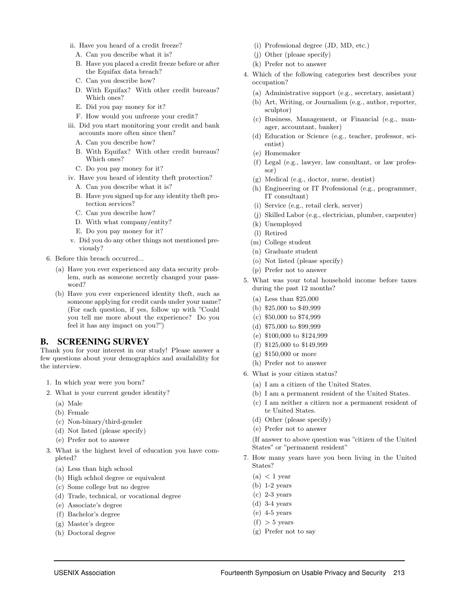- ii. Have you heard of a credit freeze?
	- A. Can you describe what it is?
	- B. Have you placed a credit freeze before or after the Equifax data breach?
	- C. Can you describe how?
	- D. With Equifax? With other credit bureaus? Which ones?
	- E. Did you pay money for it?
	- F. How would you unfreeze your credit?
- iii. Did you start monitoring your credit and bank accounts more often since then?
	- A. Can you describe how?
	- B. With Equifax? With other credit bureaus? Which ones?
	- C. Do you pay money for it?
- iv. Have you heard of identity theft protection?
	- A. Can you describe what it is?
	- B. Have you signed up for any identity theft protection services?
	- C. Can you describe how?
	- D. With what company/entity?
	- E. Do you pay money for it?
- v. Did you do any other things not mentioned previously?
- 6. Before this breach occurred...
	- (a) Have you ever experienced any data security problem, such as someone secretly changed your password?
	- (b) Have you ever experienced identity theft, such as someone applying for credit cards under your name? (For each question, if yes, follow up with "Could you tell me more about the experience? Do you feel it has any impact on you?")

#### B. SCREENING SURVEY

Thank you for your interest in our study! Please answer a few questions about your demographics and availability for the interview.

- 1. In which year were you born?
- 2. What is your current gender identity?
	- (a) Male
	- (b) Female
	- (c) Non-binary/third-gender
	- (d) Not listed (please specify)
	- (e) Prefer not to answer
- 3. What is the highest level of education you have completed?
	- (a) Less than high school
	- (b) High schhol degree or equivalent
	- (c) Some college but no degree
	- (d) Trade, technical, or vocational degree
	- (e) Associate's degree
	- (f) Bachelor's degree
	- (g) Master's degree
	- (h) Doctoral degree
- (i) Professional degree (JD, MD, etc.)
- (j) Other (please specify)
- (k) Prefer not to answer
- 4. Which of the following categories best describes your occupation?
	- (a) Administrative support (e.g., secretary, assistant)
	- (b) Art, Writing, or Journalism (e.g., author, reporter, sculptor)
	- (c) Business, Management, or Financial (e.g., manager, accountant, banker)
	- (d) Education or Science (e.g., teacher, professor, scientist)
	- (e) Homemaker
	- (f) Legal (e.g., lawyer, law consultant, or law professor)
	- (g) Medical (e.g., doctor, nurse, dentist)
	- (h) Engineering or IT Professional (e.g., programmer, IT consultant)
	- (i) Service (e.g., retail clerk, server)
	- (j) Skilled Labor (e.g., electrician, plumber, carpenter)
	- (k) Unemployed
	- (l) Retired
	- (m) College student
	- (n) Graduate student
	- (o) Not listed (please specify)
	- (p) Prefer not to answer
- 5. What was your total household income before taxes during the past 12 months?
	- (a) Less than \$25,000
	- (b) \$25,000 to \$49,999
	- (c) \$50,000 to \$74,999
	- (d) \$75,000 to \$99,999
	- (e) \$100,000 to \$124,999
	- (f) \$125,000 to \$149,999
	- (g) \$150,000 or more
	- (h) Prefer not to answer
- 6. What is your citizen status?
	- (a) I am a citizen of the United States.
	- (b) I am a permanent resident of the United States.
	- (c) I am neither a citizen nor a permanent resident of te United States.
	- (d) Other (please specify)
	- (e) Prefer not to answer

(If answer to above question was "citizen of the United States" or "permanent resident"

- 7. How many years have you been living in the United States?
	- $(a) < 1$  year
	- (b) 1-2 years
	- (c) 2-3 years
	- (d) 3-4 years
	- $(e)$  4-5 years
	- $(f) > 5$  years
	- (g) Prefer not to say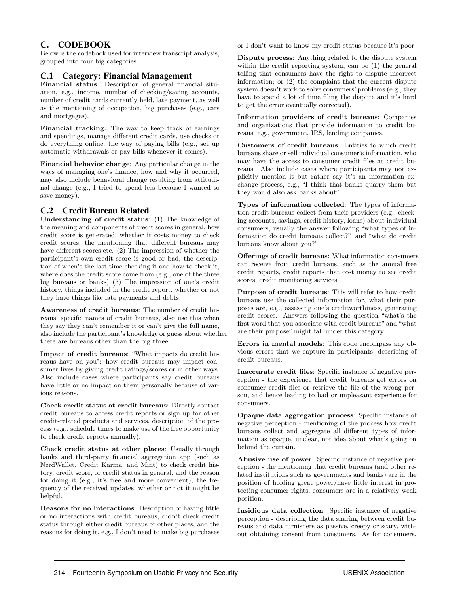## C. CODEBOOK

Below is the codebook used for interview transcript analysis, grouped into four big categories.

#### C.1 Category: Financial Management

Financial status: Description of general financial situation, e.g., income, number of checking/saving accounts, number of credit cards currently held, late payment, as well as the mentioning of occupation, big purchases (e.g., cars and mortgages).

Financial tracking: The way to keep track of earnings and spendings, manage different credit cards, use checks or do everything online, the way of paying bills (e.g., set up automatic withdrawals or pay bills whenever it comes).

Financial behavior change: Any particular change in the ways of managing one's finance, how and why it occurred, may also include behavioral change resulting from attitudinal change (e.g., I tried to spend less because I wanted to save money).

## C.2 Credit Bureau Related

Understanding of credit status: (1) The knowledge of the meaning and components of credit scores in general, how credit score is generated, whether it costs money to check credit scores, the mentioning that different bureaus may have different scores etc. (2) The impression of whether the participant's own credit score is good or bad, the description of when's the last time checking it and how to check it, where does the credit score come from (e.g., one of the three big bureaus or banks) (3) The impression of one's credit history, things included in the credit report, whether or not they have things like late payments and debts.

Awareness of credit bureaus: The number of credit bureaus, specific names of credit bureaus, also use this when they say they can't remember it or can't give the full name, also include the participant's knowledge or guess about whether there are bureaus other than the big three.

Impact of credit bureaus: "What impacts do credit bureaus have on you": how credit bureaus may impact consumer lives by giving credit ratings/scores or in other ways. Also include cases where participants say credit bureaus have little or no impact on them personally because of various reasons.

Check credit status at credit bureaus: Directly contact credit bureaus to access credit reports or sign up for other credit-related products and services, description of the process (e.g., schedule times to make use of the free opportunity to check credit reports annually).

Check credit status at other places: Usually through banks and third-party financial aggregation app (such as NerdWallet, Credit Karma, and Mint) to check credit history, credit score, or credit status in general, and the reason for doing it (e.g., it's free and more convenient), the frequency of the received updates, whether or not it might be helpful.

Reasons for no interactions: Description of having little or no interactions with credit bureaus, didn't check credit status through either credit bureaus or other places, and the reasons for doing it, e.g., I don't need to make big purchases or I don't want to know my credit status because it's poor.

Dispute process: Anything related to the dispute system within the credit reporting system, can be (1) the general telling that consumers have the right to dispute incorrect information; or (2) the complaint that the current dispute system doesn't work to solve consumers' problems (e.g., they have to spend a lot of time filing the dispute and it's hard to get the error eventually corrected).

Information providers of credit bureaus: Companies and organizations that provide information to credit bureaus, e.g., government, IRS, lending companies.

Customers of credit bureaus: Entities to which credit bureaus share or sell individual consumer's information, who may have the access to consumer credit files at credit bureaus. Also include cases where participants may not explicitly mention it but rather say it's an information exchange process, e.g., "I think that banks quarry them but they would also ask banks about".

Types of information collected: The types of information credit bureaus collect from their providers (e.g., checking accounts, savings, credit history, loans) about individual consumers, usually the answer following "what types of information do credit bureaus collect?" and "what do credit bureaus know about you?"

Offerings of credit bureaus: What information consumers can receive from credit bureaus, such as the annual free credit reports, credit reports that cost money to see credit scores, credit monitoring services.

Purpose of credit bureaus: This will refer to how credit bureaus use the collected information for, what their purposes are, e.g., assessing one's creditworthiness, generating credit scores. Answers following the question "what's the first word that you associate with credit bureaus" and "what are their purpose" might fall under this category.

Errors in mental models: This code encompass any obvious errors that we capture in participants' describing of credit bureaus.

Inaccurate credit files: Specific instance of negative perception - the experience that credit bureaus get errors on consumer credit files or retrieve the file of the wrong person, and hence leading to bad or unpleasant experience for consumers.

Opaque data aggregation process: Specific instance of negative perception - mentioning of the process how credit bureaus collect and aggregate all different types of information as opaque, unclear, not idea about what's going on behind the curtain.

Abusive use of power: Specific instance of negative perception - the mentioning that credit bureaus (and other related institutions such as governments and banks) are in the position of holding great power/have little interest in protecting consumer rights; consumers are in a relatively weak position.

Insidious data collection: Specific instance of negative perception - describing the data sharing between credit bureaus and data furnishers as passive, creepy or scary, without obtaining consent from consumers. As for consumers,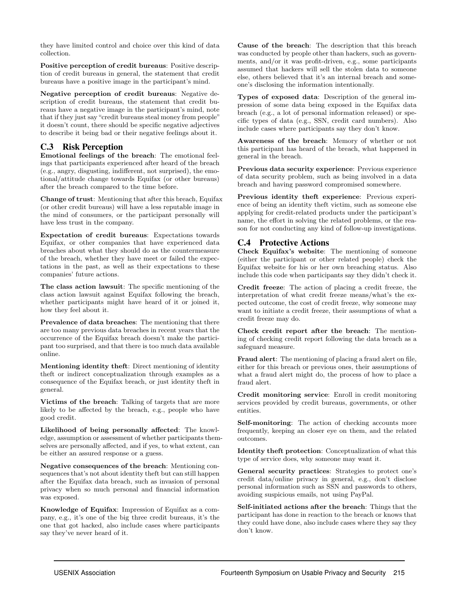they have limited control and choice over this kind of data collection.

Positive perception of credit bureaus: Positive description of credit bureaus in general, the statement that credit bureaus have a positive image in the participant's mind.

Negative perception of credit bureaus: Negative description of credit bureaus, the statement that credit bureaus have a negative image in the participant's mind, note that if they just say "credit bureaus steal money from people" it doesn't count, there should be specific negative adjectives to describe it being bad or their negative feelings about it.

## C.3 Risk Perception

Emotional feelings of the breach: The emotional feelings that participants experienced after heard of the breach (e.g., angry, disgusting, indifferent, not surprised), the emotional/attitude change towards Equifax (or other bureaus) after the breach compared to the time before.

Change of trust: Mentioning that after this breach, Equifax (or other credit bureaus) will have a less reputable image in the mind of consumers, or the participant personally will have less trust in the company.

Expectation of credit bureaus: Expectations towards Equifax, or other companies that have experienced data breaches about what they should do as the countermeasure of the breach, whether they have meet or failed the expectations in the past, as well as their expectations to these companies' future actions.

The class action lawsuit: The specific mentioning of the class action lawsuit against Equifax following the breach, whether participants might have heard of it or joined it, how they feel about it.

Prevalence of data breaches: The mentioning that there are too many previous data breaches in recent years that the occurrence of the Equifax breach doesn't make the participant too surprised, and that there is too much data available online.

Mentioning identity theft: Direct mentioning of identity theft or indirect conceptualization through examples as a consequence of the Equifax breach, or just identity theft in general.

Victims of the breach: Talking of targets that are more likely to be affected by the breach, e.g., people who have good credit.

Likelihood of being personally affected: The knowledge, assumption or assessment of whether participants themselves are personally affected, and if yes, to what extent, can be either an assured response or a guess.

Negative consequences of the breach: Mentioning consequences that's not about identity theft but can still happen after the Equifax data breach, such as invasion of personal privacy when so much personal and financial information was exposed.

Knowledge of Equifax: Impression of Equifax as a company, e.g., it's one of the big three credit bureaus, it's the one that got hacked, also include cases where participants say they've never heard of it.

Cause of the breach: The description that this breach was conducted by people other than hackers, such as governments, and/or it was profit-driven, e.g., some participants assumed that hackers will sell the stolen data to someone else, others believed that it's an internal breach and someone's disclosing the information intentionally.

Types of exposed data: Description of the general impression of some data being exposed in the Equifax data breach (e.g., a lot of personal information released) or specific types of data (e.g., SSN, credit card numbers). Also include cases where participants say they don't know.

Awareness of the breach: Memory of whether or not this participant has heard of the breach, what happened in general in the breach.

Previous data security experience: Previous experience of data security problem, such as being involved in a data breach and having password compromised somewhere.

Previous identity theft experience: Previous experience of being an identity theft victim, such as someone else applying for credit-related products under the participant's name, the effort in solving the related problems, or the reason for not conducting any kind of follow-up investigations.

## C.4 Protective Actions

Check Equifax's website: The mentioning of someone (either the participant or other related people) check the Equifax website for his or her own breaching status. Also include this code when participants say they didn't check it.

Credit freeze: The action of placing a credit freeze, the interpretation of what credit freeze means/what's the expected outcome, the cost of credit freeze, why someone may want to initiate a credit freeze, their assumptions of what a credit freeze may do.

Check credit report after the breach: The mentioning of checking credit report following the data breach as a safeguard measure.

Fraud alert: The mentioning of placing a fraud alert on file, either for this breach or previous ones, their assumptions of what a fraud alert might do, the process of how to place a fraud alert.

Credit monitoring service: Enroll in credit monitoring services provided by credit bureaus, governments, or other entities.

Self-monitoring: The action of checking accounts more frequently, keeping an closer eye on them, and the related outcomes.

Identity theft protection: Conceptualization of what this type of service does, why someone may want it.

General security practices: Strategies to protect one's credit data/online privacy in general, e.g., don't disclose personal information such as SSN and passwords to others, avoiding suspicious emails, not using PayPal.

Self-initiated actions after the breach: Things that the participant has done in reaction to the breach or knows that they could have done, also include cases where they say they don't know.